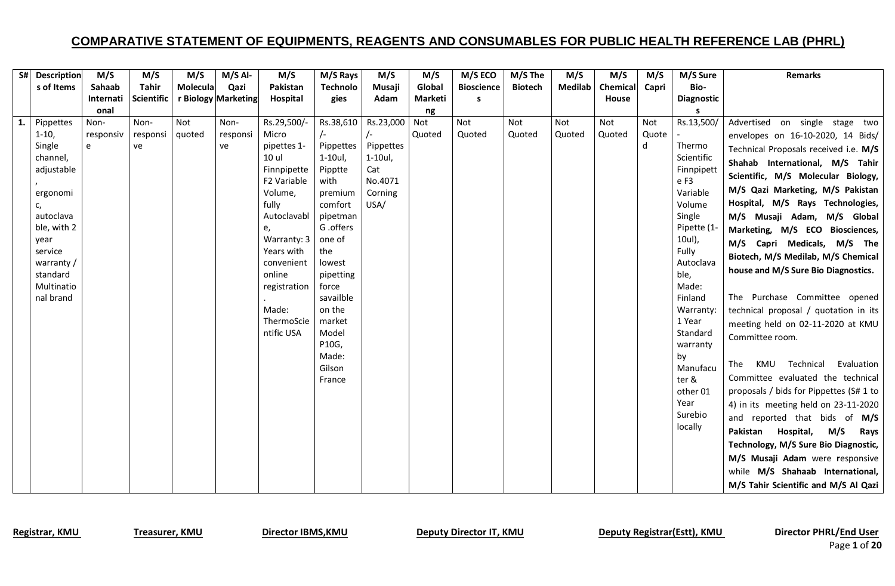|    | S# Description | M/S       | M/S               | M/S      | $M/S$ Al-           | M/S                        | M/S Rays        | M/S            | M/S     | M/S ECO           | M/S The        | M/S            | M/S             | M/S   | M/S Sure             | <b>Remarks</b>                          |
|----|----------------|-----------|-------------------|----------|---------------------|----------------------------|-----------------|----------------|---------|-------------------|----------------|----------------|-----------------|-------|----------------------|-----------------------------------------|
|    | s of Items     | Sahaab    | Tahir             | Molecula | Qazi                | Pakistan                   | <b>Technolo</b> | Musaji         | Global  | <b>Bioscience</b> | <b>Biotech</b> | <b>Medilab</b> | <b>Chemical</b> | Capri | Bio-                 |                                         |
|    |                | Internati | <b>Scientific</b> |          | r Biology Marketing | Hospital                   | gies            | Adam           | Marketi | S                 |                |                | House           |       | <b>Diagnostic</b>    |                                         |
|    |                | onal      |                   |          |                     |                            |                 |                | ng      |                   |                |                |                 |       |                      |                                         |
| 1. | Pippettes      | Non-      | Non-              | Not      | Non-                | Rs.29,500/-                | Rs.38,610       | Rs.23,000      | Not     | Not               | Not            | Not            | Not             | Not   | Rs.13,500/           | Advertised on single stage two          |
|    | $1-10,$        | responsiv | responsi          | quoted   | responsi            | Micro                      |                 |                | Quoted  | Quoted            | Quoted         | Quoted         | Quoted          | Quote |                      | envelopes on 16-10-2020, 14 Bids/       |
|    | Single         | e         | ve                |          | ve                  | pipettes 1-                | Pippettes       | Pippettes      |         |                   |                |                |                 | d     | Thermo               | Technical Proposals received i.e. M/S   |
|    | channel,       |           |                   |          |                     | 10 ul                      | 1-10ul,         | $1-10ul,$      |         |                   |                |                |                 |       | Scientific           | Shahab International, M/S Tahir         |
|    | adjustable     |           |                   |          |                     | Finnpipette<br>F2 Variable | Pipptte         | Cat<br>No.4071 |         |                   |                |                |                 |       | Finnpipett<br>e F3   | Scientific, M/S Molecular Biology,      |
|    | ergonomi       |           |                   |          |                     | Volume,                    | with<br>premium | Corning        |         |                   |                |                |                 |       | Variable             | M/S Qazi Marketing, M/S Pakistan        |
|    | c,             |           |                   |          |                     | fully                      | comfort         | USA/           |         |                   |                |                |                 |       | Volume               | Hospital, M/S Rays Technologies,        |
|    | autoclava      |           |                   |          |                     | Autoclavabl                | pipetman        |                |         |                   |                |                |                 |       | Single               | M/S Musaji Adam, M/S Global             |
|    | ble, with 2    |           |                   |          |                     | e,                         | G .offers       |                |         |                   |                |                |                 |       | Pipette (1-          | Marketing, M/S ECO Biosciences,         |
|    | vear           |           |                   |          |                     | Warranty: 3                | one of          |                |         |                   |                |                |                 |       | 10ul),               | M/S Capri Medicals, M/S The             |
|    | service        |           |                   |          |                     | Years with                 | the             |                |         |                   |                |                |                 |       | Fully                | Biotech, M/S Medilab, M/S Chemical      |
|    | warranty /     |           |                   |          |                     | convenient                 | lowest          |                |         |                   |                |                |                 |       | Autoclava            |                                         |
|    | standard       |           |                   |          |                     | online                     | pipetting       |                |         |                   |                |                |                 |       | ble,                 | house and M/S Sure Bio Diagnostics.     |
|    | Multinatio     |           |                   |          |                     | registration               | force           |                |         |                   |                |                |                 |       | Made:                |                                         |
|    | nal brand      |           |                   |          |                     |                            | savailble       |                |         |                   |                |                |                 |       | Finland              | The Purchase Committee opened           |
|    |                |           |                   |          |                     | Made:                      | on the          |                |         |                   |                |                |                 |       | Warranty:            | technical proposal / quotation in its   |
|    |                |           |                   |          |                     | ThermoScie<br>ntific USA   | market<br>Model |                |         |                   |                |                |                 |       | 1 Year               | meeting held on 02-11-2020 at KMU       |
|    |                |           |                   |          |                     |                            | P10G,           |                |         |                   |                |                |                 |       | Standard<br>warranty | Committee room.                         |
|    |                |           |                   |          |                     |                            | Made:           |                |         |                   |                |                |                 |       | by                   |                                         |
|    |                |           |                   |          |                     |                            | Gilson          |                |         |                   |                |                |                 |       | Manufacu             | KMU Technical<br>Evaluation<br>The      |
|    |                |           |                   |          |                     |                            | France          |                |         |                   |                |                |                 |       | ter &                | Committee evaluated the technical       |
|    |                |           |                   |          |                     |                            |                 |                |         |                   |                |                |                 |       | other 01             | proposals / bids for Pippettes (S# 1 to |
|    |                |           |                   |          |                     |                            |                 |                |         |                   |                |                |                 |       | Year                 | 4) in its meeting held on 23-11-2020    |
|    |                |           |                   |          |                     |                            |                 |                |         |                   |                |                |                 |       | Surebio              | and reported that bids of M/S           |
|    |                |           |                   |          |                     |                            |                 |                |         |                   |                |                |                 |       | locally              | M/S<br>Pakistan<br>Hospital,<br>Rays    |
|    |                |           |                   |          |                     |                            |                 |                |         |                   |                |                |                 |       |                      | Technology, M/S Sure Bio Diagnostic,    |
|    |                |           |                   |          |                     |                            |                 |                |         |                   |                |                |                 |       |                      | M/S Musaji Adam were responsive         |
|    |                |           |                   |          |                     |                            |                 |                |         |                   |                |                |                 |       |                      | while M/S Shahaab International,        |
|    |                |           |                   |          |                     |                            |                 |                |         |                   |                |                |                 |       |                      | M/S Tahir Scientific and M/S Al Qazi    |

Registrar, KMU Treasurer, KMU Director IBMS, KMU Deputy Director IT, KMU Deputy Registrar(Estt), KMU Director PHRL/End User

Page **1** of **20**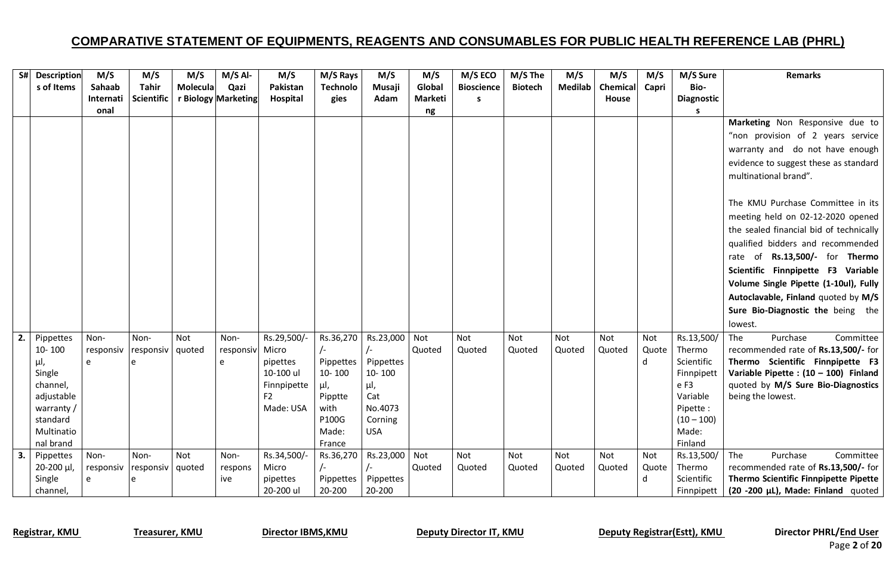|    | S# Description          | M/S       | M/S                | M/S      | $M/S$ Al-           | M/S         | M/S Rays        | M/S        | M/S     | M/S ECO           | M/S The        | M/S            | M/S      | M/S   | M/S Sure              | <b>Remarks</b>                            |
|----|-------------------------|-----------|--------------------|----------|---------------------|-------------|-----------------|------------|---------|-------------------|----------------|----------------|----------|-------|-----------------------|-------------------------------------------|
|    | s of Items              | Sahaab    | <b>Tahir</b>       | Molecula | Qazi                | Pakistan    | <b>Technolo</b> | Musaji     | Global  | <b>Bioscience</b> | <b>Biotech</b> | <b>Medilab</b> | Chemical | Capri | Bio-                  |                                           |
|    |                         | Internati | <b>Scientific</b>  |          | r Biology Marketing | Hospital    | gies            | Adam       | Marketi | s                 |                |                | House    |       | <b>Diagnostic</b>     |                                           |
|    |                         | onal      |                    |          |                     |             |                 |            | ng      |                   |                |                |          |       | s                     |                                           |
|    |                         |           |                    |          |                     |             |                 |            |         |                   |                |                |          |       |                       | Marketing Non Responsive due to           |
|    |                         |           |                    |          |                     |             |                 |            |         |                   |                |                |          |       |                       | "non provision of 2 years service         |
|    |                         |           |                    |          |                     |             |                 |            |         |                   |                |                |          |       |                       | warranty and do not have enough           |
|    |                         |           |                    |          |                     |             |                 |            |         |                   |                |                |          |       |                       | evidence to suggest these as standard     |
|    |                         |           |                    |          |                     |             |                 |            |         |                   |                |                |          |       |                       | multinational brand".                     |
|    |                         |           |                    |          |                     |             |                 |            |         |                   |                |                |          |       |                       |                                           |
|    |                         |           |                    |          |                     |             |                 |            |         |                   |                |                |          |       |                       | The KMU Purchase Committee in its         |
|    |                         |           |                    |          |                     |             |                 |            |         |                   |                |                |          |       |                       | meeting held on 02-12-2020 opened         |
|    |                         |           |                    |          |                     |             |                 |            |         |                   |                |                |          |       |                       | the sealed financial bid of technically   |
|    |                         |           |                    |          |                     |             |                 |            |         |                   |                |                |          |       |                       | qualified bidders and recommended         |
|    |                         |           |                    |          |                     |             |                 |            |         |                   |                |                |          |       |                       |                                           |
|    |                         |           |                    |          |                     |             |                 |            |         |                   |                |                |          |       |                       | rate of Rs.13,500/- for Thermo            |
|    |                         |           |                    |          |                     |             |                 |            |         |                   |                |                |          |       |                       | Scientific Finnpipette F3 Variable        |
|    |                         |           |                    |          |                     |             |                 |            |         |                   |                |                |          |       |                       | Volume Single Pipette (1-10ul), Fully     |
|    |                         |           |                    |          |                     |             |                 |            |         |                   |                |                |          |       |                       | Autoclavable, Finland quoted by M/S       |
|    |                         |           |                    |          |                     |             |                 |            |         |                   |                |                |          |       |                       | Sure Bio-Diagnostic the being the         |
|    |                         |           |                    |          |                     |             |                 |            |         |                   |                |                |          |       |                       | lowest.                                   |
| 2. | Pippettes               | Non-      | Non-               | Not      | Non-                | Rs.29,500/- | Rs.36,270       | Rs.23,000  | Not     | Not               | Not            | Not            | Not      | Not   | Rs.13,500/            | Purchase<br>Committee<br>The              |
|    | 10-100                  | responsiv | responsiv   quoted |          | responsiv           | Micro       | $\sqrt{-}$      | $\sqrt{-}$ | Quoted  | Quoted            | Quoted         | Quoted         | Quoted   | Quote | Thermo                | recommended rate of Rs.13,500/- for       |
|    | μl,                     | e         | e                  |          | e                   | pipettes    | Pippettes       | Pippettes  |         |                   |                |                |          | d     | Scientific            | Thermo Scientific Finnpipette F3          |
|    | Single                  |           |                    |          |                     | 10-100 ul   | 10-100          | 10-100     |         |                   |                |                |          |       | Finnpipett            | Variable Pipette : $(10 - 100)$ Finland   |
|    | channel,                |           |                    |          |                     | Finnpipette | μΙ,             | μl,        |         |                   |                |                |          |       | e F3                  | quoted by M/S Sure Bio-Diagnostics        |
|    | adjustable              |           |                    |          |                     | F2          | Pipptte         | Cat        |         |                   |                |                |          |       | Variable              | being the lowest.                         |
|    | warranty /              |           |                    |          |                     | Made: USA   | with            | No.4073    |         |                   |                |                |          |       | Pipette:              |                                           |
|    | standard                |           |                    |          |                     |             | P100G<br>Made:  | Corning    |         |                   |                |                |          |       | $(10 - 100)$<br>Made: |                                           |
|    | Multinatio<br>nal brand |           |                    |          |                     |             | France          | <b>USA</b> |         |                   |                |                |          |       | Finland               |                                           |
|    |                         | Non-      | Non-               | Not      | Non-                | Rs.34,500/- | Rs.36,270       | Rs.23,000  | Not     | <b>Not</b>        | Not            | Not            | Not      | Not   | Rs.13,500/            | The<br>Purchase<br>Committee              |
| 3. | Pippettes<br>20-200 µl, | responsiv | responsiv   quoted |          | respons             | Micro       | $\sqrt{-}$      | $\sqrt{-}$ | Quoted  | Quoted            | Quoted         | Quoted         | Quoted   | Quote | Thermo                | recommended rate of Rs.13,500/- for       |
|    | Single                  | e         | e                  |          | ive                 | pipettes    | Pippettes       | Pippettes  |         |                   |                |                |          | d     | Scientific            | Thermo Scientific Finnpipette Pipette     |
|    | channel,                |           |                    |          |                     | 20-200 ul   | 20-200          | 20-200     |         |                   |                |                |          |       | Finnpipett            | $(20 - 200 \mu L)$ , Made: Finland quoted |

Registrar, KMU Treasurer, KMU Director IBMS, KMU Deputy Director IT, KMU Deputy Registrar(Estt), KMU Director PHRL/End User

Page **2** of **20**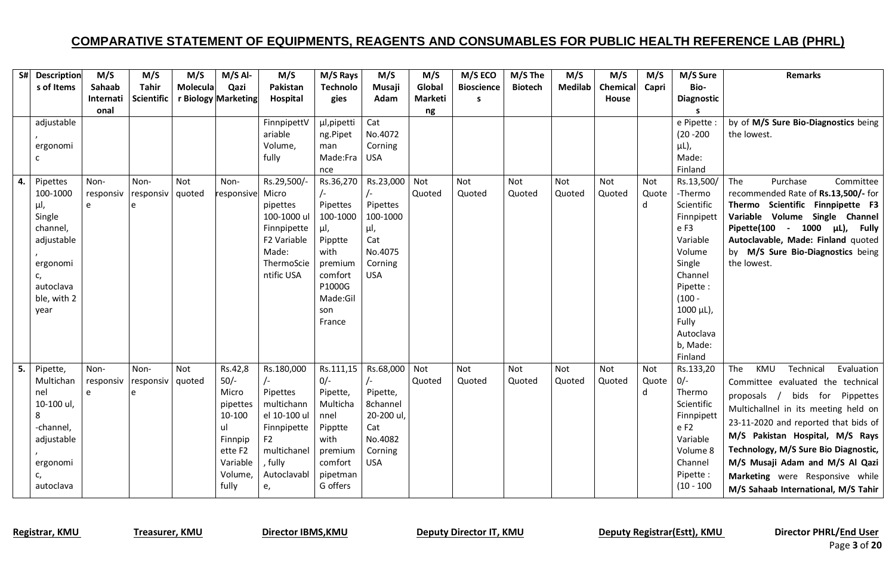|    | S# Description  | M/S        | M/S                | M/S      | $M/S$ Al-           | M/S                        | M/S Rays           | M/S                    | M/S            | M/S ECO           | M/S The        | M/S     | M/S             | M/S   | M/S Sure          | <b>Remarks</b>                          |
|----|-----------------|------------|--------------------|----------|---------------------|----------------------------|--------------------|------------------------|----------------|-------------------|----------------|---------|-----------------|-------|-------------------|-----------------------------------------|
|    | s of Items      | Sahaab     | <b>Tahir</b>       | Molecula | Qazi                | Pakistan                   | <b>Technolo</b>    | Musaji                 | Global         | <b>Bioscience</b> | <b>Biotech</b> | Medilab | <b>Chemical</b> | Capri | Bio-              |                                         |
|    |                 | Internati  | <b>Scientific</b>  |          | r Biology Marketing | Hospital                   | gies               | Adam                   | <b>Marketi</b> | s.                |                |         | House           |       | <b>Diagnostic</b> |                                         |
|    |                 | onal       |                    |          |                     |                            |                    |                        | ng             |                   |                |         |                 |       |                   |                                         |
|    | adjustable      |            |                    |          |                     | FinnpipettV                | µl, pipetti        | Cat                    |                |                   |                |         |                 |       | e Pipette :       | by of M/S Sure Bio-Diagnostics being    |
|    |                 |            |                    |          |                     | ariable<br>Volume,         | ng.Pipet<br>man    | No.4072<br>Corning     |                |                   |                |         |                 |       | $(20 - 200)$      | the lowest.                             |
|    | ergonomi<br>c   |            |                    |          |                     | fully                      | Made:Fra           | <b>USA</b>             |                |                   |                |         |                 |       | μL),<br>Made:     |                                         |
|    |                 |            |                    |          |                     |                            | nce                |                        |                |                   |                |         |                 |       | Finland           |                                         |
| 4. | Pipettes        | Non-       | Non-               | Not      | Non-                | Rs.29,500/-                | Rs.36,270          | Rs.23,000              | Not            | Not               | Not            | Not     | Not             | Not   | Rs.13,500/        | Purchase<br>The<br>Committee            |
|    | 100-1000        | responsiv  | responsiv   quoted |          | responsive Micro    |                            |                    | $\sqrt{-}$             | Quoted         | Quoted            | Quoted         | Quoted  | Quoted          | Quote | -Thermo           | recommended Rate of Rs.13,500/- for     |
|    | μΙ,             | e          |                    |          |                     | pipettes                   | Pipettes           | Pipettes               |                |                   |                |         |                 | d     | Scientific        | Thermo Scientific Finnpipette F3        |
|    | Single          |            |                    |          |                     | 100-1000 ul                | 100-1000           | 100-1000               |                |                   |                |         |                 |       | Finnpipett        | Variable Volume Single Channel          |
|    | channel,        |            |                    |          |                     | Finnpipette                | μl,                | μl,                    |                |                   |                |         |                 |       | e F3              | Pipette(100 - 1000 µL),<br><b>Fully</b> |
|    | adjustable      |            |                    |          |                     | F2 Variable                | Pipptte            | Cat                    |                |                   |                |         |                 |       | Variable          | Autoclavable, Made: Finland quoted      |
|    |                 |            |                    |          |                     | Made:                      | with               | No.4075                |                |                   |                |         |                 |       | Volume            | by M/S Sure Bio-Diagnostics being       |
|    | ergonomi        |            |                    |          |                     | ThermoScie<br>ntific USA   | premium<br>comfort | Corning<br><b>USA</b>  |                |                   |                |         |                 |       | Single<br>Channel | the lowest.                             |
|    | c,<br>autoclava |            |                    |          |                     |                            | P1000G             |                        |                |                   |                |         |                 |       | Pipette:          |                                         |
|    | ble, with 2     |            |                    |          |                     |                            | Made:Gil           |                        |                |                   |                |         |                 |       | $(100 -$          |                                         |
|    | year            |            |                    |          |                     |                            | son                |                        |                |                   |                |         |                 |       | 1000 µL),         |                                         |
|    |                 |            |                    |          |                     |                            | France             |                        |                |                   |                |         |                 |       | Fully             |                                         |
|    |                 |            |                    |          |                     |                            |                    |                        |                |                   |                |         |                 |       | Autoclava         |                                         |
|    |                 |            |                    |          |                     |                            |                    |                        |                |                   |                |         |                 |       | b, Made:          |                                         |
|    |                 |            |                    |          |                     |                            |                    |                        |                |                   |                |         |                 |       | Finland           |                                         |
| 5. | Pipette,        | Non-       | Non-               | Not      | Rs.42,8             | Rs.180,000                 | Rs.111,15          | Rs.68,000              | Not            | Not               | Not            | Not     | Not             | Not   | Rs.133,20         | KMU<br>Technical<br>The<br>Evaluation   |
|    | Multichan       | responsiv  | responsiv          | quoted   | $50/-$              |                            | $0/-$              | $\sqrt{-}$             | Quoted         | Quoted            | Quoted         | Quoted  | Quoted          | Quote | $0/-$             | Committee evaluated the technical       |
|    | nel             | $\epsilon$ |                    |          | Micro               | Pipettes                   | Pipette,           | Pipette,               |                |                   |                |         |                 | d     | Thermo            | bids for Pippettes<br>proposals /       |
|    | 10-100 ul,<br>8 |            |                    |          | pipettes<br>10-100  | multichann<br>el 10-100 ul | Multicha<br>nnel   | 8channel<br>20-200 ul, |                |                   |                |         |                 |       | Scientific        | Multichallnel in its meeting held on    |
|    | -channel,       |            |                    |          | ul                  | Finnpipette                | Pipptte            | Cat                    |                |                   |                |         |                 |       | Finnpipett<br>eF2 | 23-11-2020 and reported that bids of    |
|    | adjustable      |            |                    |          | Finnpip             | F <sub>2</sub>             | with               | No.4082                |                |                   |                |         |                 |       | Variable          | M/S Pakistan Hospital, M/S Rays         |
|    |                 |            |                    |          | ette F2             | multichanel                | premium            | Corning                |                |                   |                |         |                 |       | Volume 8          | Technology, M/S Sure Bio Diagnostic,    |
|    | ergonomi        |            |                    |          | Variable            | , fully                    | comfort            | <b>USA</b>             |                |                   |                |         |                 |       | Channel           | M/S Musaji Adam and M/S Al Qazi         |
|    | c,              |            |                    |          | Volume,             | Autoclavabl                | pipetman           |                        |                |                   |                |         |                 |       | Pipette:          | Marketing were Responsive while         |
|    | autoclava       |            |                    |          | fully               | e,                         | G offers           |                        |                |                   |                |         |                 |       | $(10 - 100)$      | M/S Sahaab International, M/S Tahir     |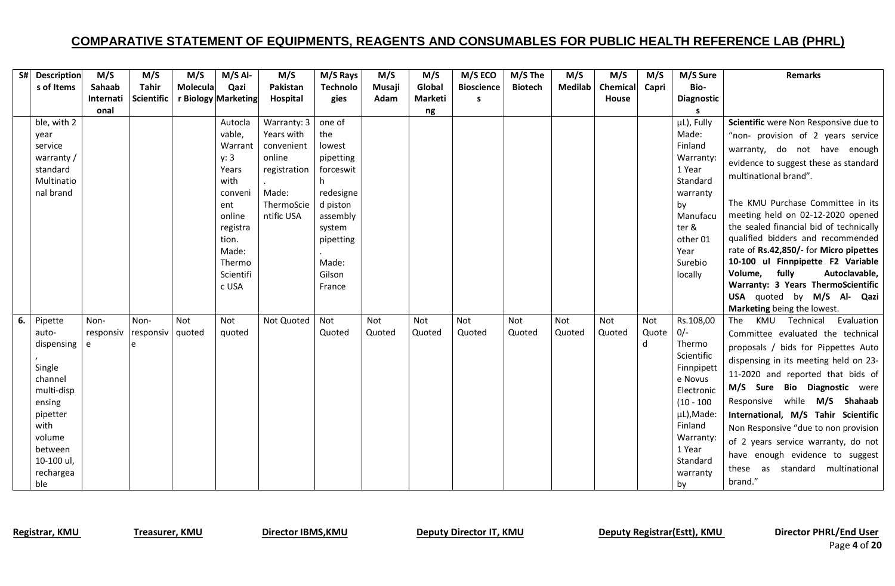|    | S# Description          | M/S       | M/S               | M/S      | $M/S$ Al-           | M/S          | M/S Rays              | M/S    | M/S     | M/S ECO           | M/S The        | M/S            | M/S      | M/S   | M/S Sure              | <b>Remarks</b>                          |
|----|-------------------------|-----------|-------------------|----------|---------------------|--------------|-----------------------|--------|---------|-------------------|----------------|----------------|----------|-------|-----------------------|-----------------------------------------|
|    | s of Items              | Sahaab    | Tahir             | Molecula | Qazi                | Pakistan     | <b>Technolo</b>       | Musaji | Global  | <b>Bioscience</b> | <b>Biotech</b> | <b>Medilab</b> | Chemical | Capri | Bio-                  |                                         |
|    |                         | Internati | <b>Scientific</b> |          | r Biology Marketing | Hospital     | gies                  | Adam   | Marketi | s                 |                |                | House    |       | <b>Diagnostic</b>     |                                         |
|    |                         | onal      |                   |          |                     |              |                       |        | ng      |                   |                |                |          |       |                       |                                         |
|    | ble, with 2             |           |                   |          | Autocla             | Warranty: 3  | one of                |        |         |                   |                |                |          |       | µL), Fully            | Scientific were Non Responsive due to   |
|    | year                    |           |                   |          | vable,              | Years with   | the                   |        |         |                   |                |                |          |       | Made:                 | "non- provision of 2 years service      |
|    | service                 |           |                   |          | Warrant             | convenient   | lowest                |        |         |                   |                |                |          |       | Finland               | warranty, do not have enough            |
|    | warranty /              |           |                   |          | y: 3                | online       | pipetting             |        |         |                   |                |                |          |       | Warranty:             | evidence to suggest these as standard   |
|    | standard                |           |                   |          | Years               | registration | forceswit             |        |         |                   |                |                |          |       | 1 Year                | multinational brand".                   |
|    | Multinatio<br>nal brand |           |                   |          | with<br>conveni     | Made:        | h                     |        |         |                   |                |                |          |       | Standard<br>warranty  |                                         |
|    |                         |           |                   |          | ent                 | ThermoScie   | redesigne<br>d piston |        |         |                   |                |                |          |       | by                    | The KMU Purchase Committee in its       |
|    |                         |           |                   |          | online              | ntific USA   | assembly              |        |         |                   |                |                |          |       | Manufacu              | meeting held on 02-12-2020 opened       |
|    |                         |           |                   |          | registra            |              | system                |        |         |                   |                |                |          |       | ter &                 | the sealed financial bid of technically |
|    |                         |           |                   |          | tion.               |              | pipetting             |        |         |                   |                |                |          |       | other 01              | qualified bidders and recommended       |
|    |                         |           |                   |          | Made:               |              |                       |        |         |                   |                |                |          |       | Year                  | rate of Rs.42,850/- for Micro pipettes  |
|    |                         |           |                   |          | Thermo              |              | Made:                 |        |         |                   |                |                |          |       | Surebio               | 10-100 ul Finnpipette F2 Variable       |
|    |                         |           |                   |          | Scientifi           |              | Gilson                |        |         |                   |                |                |          |       | locally               | Volume,<br>fully<br>Autoclavable,       |
|    |                         |           |                   |          | c USA               |              | France                |        |         |                   |                |                |          |       |                       | Warranty: 3 Years ThermoScientific      |
|    |                         |           |                   |          |                     |              |                       |        |         |                   |                |                |          |       |                       | USA quoted by M/S Al- Qazi              |
|    |                         |           |                   |          |                     |              |                       |        |         |                   |                |                |          |       |                       | Marketing being the lowest.             |
| 6. | Pipette                 | Non-      | Non-              | Not      | Not                 | Not Quoted   | Not                   | Not    | Not     | <b>Not</b>        | Not            | Not            | Not      | Not   | Rs.108,00             | Evaluation<br>KMU Technical<br>The      |
|    | auto-                   | responsiv | responsiv         | quoted   | quoted              |              | Quoted                | Quoted | Quoted  | Quoted            | Quoted         | Quoted         | Quoted   | Quote | $0/-$                 | Committee evaluated the technical       |
|    | dispensing              | e         |                   |          |                     |              |                       |        |         |                   |                |                |          | d     | Thermo                | proposals / bids for Pippettes Auto     |
|    |                         |           |                   |          |                     |              |                       |        |         |                   |                |                |          |       | Scientific            | dispensing in its meeting held on 23-   |
|    | Single<br>channel       |           |                   |          |                     |              |                       |        |         |                   |                |                |          |       | Finnpipett<br>e Novus | 11-2020 and reported that bids of       |
|    | multi-disp              |           |                   |          |                     |              |                       |        |         |                   |                |                |          |       | Electronic            | M/S Sure Bio Diagnostic were            |
|    | ensing                  |           |                   |          |                     |              |                       |        |         |                   |                |                |          |       | $(10 - 100)$          | Responsive while M/S Shahaab            |
|    | pipetter                |           |                   |          |                     |              |                       |        |         |                   |                |                |          |       | µL), Made:            | International, M/S Tahir Scientific     |
|    | with                    |           |                   |          |                     |              |                       |        |         |                   |                |                |          |       | Finland               | Non Responsive "due to non provision    |
|    | volume                  |           |                   |          |                     |              |                       |        |         |                   |                |                |          |       | Warranty:             | of 2 years service warranty, do not     |
|    | between                 |           |                   |          |                     |              |                       |        |         |                   |                |                |          |       | 1 Year                | have enough evidence to suggest         |
|    | 10-100 ul,              |           |                   |          |                     |              |                       |        |         |                   |                |                |          |       | Standard              | as standard multinational<br>these      |
|    | rechargea               |           |                   |          |                     |              |                       |        |         |                   |                |                |          |       | warranty              | brand."                                 |
|    | ble                     |           |                   |          |                     |              |                       |        |         |                   |                |                |          |       | by                    |                                         |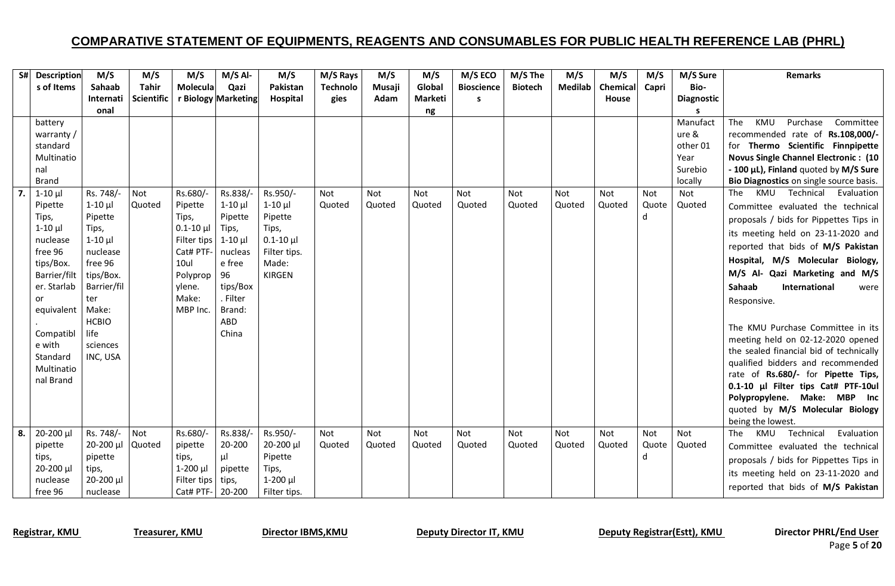|    | S# Description | M/S                   | M/S        | M/S             | $M/S$ Al-           | M/S             | M/S Rays        | M/S        | M/S        | M/S ECO           | M/S The        | M/S            | M/S      | M/S        | M/S Sure          | <b>Remarks</b>                                             |
|----|----------------|-----------------------|------------|-----------------|---------------------|-----------------|-----------------|------------|------------|-------------------|----------------|----------------|----------|------------|-------------------|------------------------------------------------------------|
|    | s of Items     | Sahaab                | Tahir      | <b>Molecula</b> | Qazi                | Pakistan        | <b>Technolo</b> | Musaji     | Global     | <b>Bioscience</b> | <b>Biotech</b> | <b>Medilab</b> | Chemical | Capri      | Bio-              |                                                            |
|    |                | Internati             | Scientific |                 | r Biology Marketing | Hospital        | gies            | Adam       | Marketi    | S                 |                |                | House    |            | <b>Diagnostic</b> |                                                            |
|    | battery        | onal                  |            |                 |                     |                 |                 |            | ng         |                   |                |                |          |            | s<br>Manufact     | KMU<br>The<br>Purchase<br>Committee                        |
|    | warranty /     |                       |            |                 |                     |                 |                 |            |            |                   |                |                |          |            | ure &             | recommended rate of Rs.108,000/-                           |
|    | standard       |                       |            |                 |                     |                 |                 |            |            |                   |                |                |          |            | other 01          | for Thermo Scientific Finnpipette                          |
|    | Multinatio     |                       |            |                 |                     |                 |                 |            |            |                   |                |                |          |            | Year              | <b>Novus Single Channel Electronic: (10</b>                |
|    | nal            |                       |            |                 |                     |                 |                 |            |            |                   |                |                |          |            | Surebio           | - 100 µL), Finland quoted by M/S Sure                      |
|    | <b>Brand</b>   |                       |            |                 |                     |                 |                 |            |            |                   |                |                |          |            | locally           | Bio Diagnostics on single source basis.                    |
| 7. | $1-10$ µ       | Rs. 748/-             | Not        | Rs.680/-        | Rs.838/-            | Rs.950/-        | Not             | <b>Not</b> | Not        | Not               | Not            | Not            | Not      | Not        | Not               | KMU<br>Technical<br>Evaluation<br>The                      |
|    | Pipette        | $1-10$ $\mu$          | Quoted     | Pipette         | $1-10$ $\mu$        | $1-10$ $\mu$    | Quoted          | Quoted     | Quoted     | Quoted            | Quoted         | Quoted         | Quoted   | Quote      | Quoted            | Committee evaluated the technical                          |
|    | Tips,          | Pipette               |            | Tips,           | Pipette             | Pipette         |                 |            |            |                   |                |                |          | d          |                   | proposals / bids for Pippettes Tips in                     |
|    | $1-10$ $\mu$   | Tips,                 |            | $0.1 - 10 \mu$  | Tips,               | Tips,           |                 |            |            |                   |                |                |          |            |                   | its meeting held on 23-11-2020 and                         |
|    | nuclease       | $1-10$ $\mu$          |            | Filter tips     | $1-10$ $\mu$        | $0.1 - 10 \mu$  |                 |            |            |                   |                |                |          |            |                   | reported that bids of M/S Pakistan                         |
|    | free 96        | nuclease              |            | Cat# PTF-       | nucleas             | Filter tips.    |                 |            |            |                   |                |                |          |            |                   | Hospital, M/S Molecular Biology,                           |
|    | tips/Box.      | free 96               |            | 10ul            | e free              | Made:           |                 |            |            |                   |                |                |          |            |                   |                                                            |
|    | Barrier/filt   | tips/Box.             |            | Polyprop        | 96                  | <b>KIRGEN</b>   |                 |            |            |                   |                |                |          |            |                   | M/S Al- Qazi Marketing and M/S                             |
|    | er. Starlab    | Barrier/fil           |            | ylene.          | tips/Box            |                 |                 |            |            |                   |                |                |          |            |                   | Sahaab<br>International<br>were                            |
|    | or             | ter                   |            | Make:           | . Filter            |                 |                 |            |            |                   |                |                |          |            |                   | Responsive.                                                |
|    | equivalent     | Make:<br><b>HCBIO</b> |            | MBP Inc.        | Brand:<br>ABD       |                 |                 |            |            |                   |                |                |          |            |                   |                                                            |
|    | Compatibl      | life                  |            |                 | China               |                 |                 |            |            |                   |                |                |          |            |                   | The KMU Purchase Committee in its                          |
|    | e with         | sciences              |            |                 |                     |                 |                 |            |            |                   |                |                |          |            |                   | meeting held on 02-12-2020 opened                          |
|    | Standard       | INC, USA              |            |                 |                     |                 |                 |            |            |                   |                |                |          |            |                   | the sealed financial bid of technically                    |
|    | Multinatio     |                       |            |                 |                     |                 |                 |            |            |                   |                |                |          |            |                   | qualified bidders and recommended                          |
|    | nal Brand      |                       |            |                 |                     |                 |                 |            |            |                   |                |                |          |            |                   | rate of Rs.680/- for Pipette Tips,                         |
|    |                |                       |            |                 |                     |                 |                 |            |            |                   |                |                |          |            |                   | 0.1-10 µl Filter tips Cat# PTF-10ul                        |
|    |                |                       |            |                 |                     |                 |                 |            |            |                   |                |                |          |            |                   | Polypropylene. Make: MBP Inc                               |
|    |                |                       |            |                 |                     |                 |                 |            |            |                   |                |                |          |            |                   | quoted by M/S Molecular Biology                            |
| 8. | $20 - 200 \mu$ | Rs. 748/-             | Not        | Rs.680/-        | Rs.838/-            | Rs.950/-        | Not             | Not        | <b>Not</b> | Not               | <b>Not</b>     | Not            | Not      | <b>Not</b> | Not               | being the lowest.<br>Technical<br>Evaluation<br>The<br>KMU |
|    | pipette        | 20-200 µl             | Quoted     | pipette         | 20-200              | 20-200 µl       | Quoted          | Quoted     | Quoted     | Quoted            | Quoted         | Quoted         | Quoted   | Quote      | Quoted            | Committee evaluated the technical                          |
|    | tips,          | pipette               |            | tips,           | $\mu$               | Pipette         |                 |            |            |                   |                |                |          | d          |                   |                                                            |
|    | $20 - 200 \mu$ | tips,                 |            | $1-200$ $\mu$   | pipette             | Tips,           |                 |            |            |                   |                |                |          |            |                   | proposals / bids for Pippettes Tips in                     |
|    | nuclease       | 20-200 µl             |            | Filter tips     | tips,               | $1 - 200$ $\mu$ |                 |            |            |                   |                |                |          |            |                   | its meeting held on 23-11-2020 and                         |
|    | free 96        | nuclease              |            | Cat# PTF-       | 20-200              | Filter tips.    |                 |            |            |                   |                |                |          |            |                   | reported that bids of M/S Pakistan                         |

Registrar, KMU Treasurer, KMU Director IBMS, KMU Deputy Director IT, KMU Deputy Registrar(Estt), KMU Director PHRL/End User

Page **5** of **20**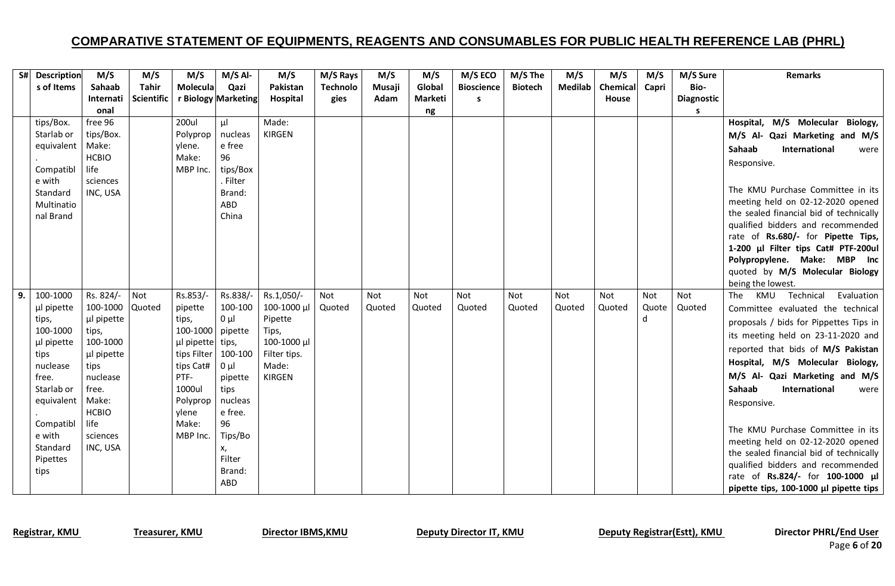|    | S# Description         | M/S               | M/S               | M/S               | $M/S$ Al-            | M/S                  | M/S Rays        | M/S    | M/S            | M/S ECO           | M/S The        | M/S            | M/S      | M/S   | M/S Sure   | <b>Remarks</b>                          |
|----|------------------------|-------------------|-------------------|-------------------|----------------------|----------------------|-----------------|--------|----------------|-------------------|----------------|----------------|----------|-------|------------|-----------------------------------------|
|    | s of Items             | Sahaab            | <b>Tahir</b>      | Molecula          | Qazi                 | Pakistan             | <b>Technolo</b> | Musaji | Global         | <b>Bioscience</b> | <b>Biotech</b> | <b>Medilab</b> | Chemical | Capri | Bio-       |                                         |
|    |                        | Internati         | <b>Scientific</b> |                   | r Biology Marketing  | Hospital             | gies            | Adam   | <b>Marketi</b> | s                 |                |                | House    |       | Diagnostic |                                         |
|    |                        | onal              |                   |                   |                      |                      |                 |        | ng             |                   |                |                |          |       | s          |                                         |
|    | tips/Box.              | free 96           |                   | <b>200ul</b>      | μI                   | Made:                |                 |        |                |                   |                |                |          |       |            | Hospital, M/S Molecular<br>Biology,     |
|    | Starlab or             | tips/Box.         |                   | Polyprop          | nucleas              | <b>KIRGEN</b>        |                 |        |                |                   |                |                |          |       |            | M/S Al- Qazi Marketing and M/S          |
|    | equivalent   Make:     |                   |                   | ylene.            | e free               |                      |                 |        |                |                   |                |                |          |       |            | International<br>Sahaab<br>were         |
|    |                        | <b>HCBIO</b>      |                   | Make:             | 96                   |                      |                 |        |                |                   |                |                |          |       |            | Responsive.                             |
|    | Compatibl              | life              |                   | MBP Inc.          | tips/Box             |                      |                 |        |                |                   |                |                |          |       |            |                                         |
|    | e with                 | sciences          |                   |                   | . Filter             |                      |                 |        |                |                   |                |                |          |       |            | The KMU Purchase Committee in its       |
|    | Standard<br>Multinatio | INC, USA          |                   |                   | Brand:<br>ABD        |                      |                 |        |                |                   |                |                |          |       |            | meeting held on 02-12-2020 opened       |
|    | nal Brand              |                   |                   |                   | China                |                      |                 |        |                |                   |                |                |          |       |            | the sealed financial bid of technically |
|    |                        |                   |                   |                   |                      |                      |                 |        |                |                   |                |                |          |       |            | qualified bidders and recommended       |
|    |                        |                   |                   |                   |                      |                      |                 |        |                |                   |                |                |          |       |            | rate of Rs.680/- for Pipette Tips,      |
|    |                        |                   |                   |                   |                      |                      |                 |        |                |                   |                |                |          |       |            | 1-200 µl Filter tips Cat# PTF-200ul     |
|    |                        |                   |                   |                   |                      |                      |                 |        |                |                   |                |                |          |       |            | Polypropylene. Make: MBP Inc            |
|    |                        |                   |                   |                   |                      |                      |                 |        |                |                   |                |                |          |       |            | quoted by M/S Molecular Biology         |
|    |                        |                   |                   |                   |                      |                      |                 |        |                |                   |                |                |          |       |            | being the lowest.                       |
| 9. | 100-1000               | Rs. 824/-         | Not               | Rs.853/-          | Rs.838/-             | Rs.1,050/-           | Not             | Not    | Not            | Not               | Not            | Not            | Not      | Not   | Not        | The<br>KMU<br>Technical<br>Evaluation   |
|    | µl pipette             | 100-1000          | Quoted            | pipette           | 100-100              | 100-1000 µl          | Quoted          | Quoted | Quoted         | Quoted            | Quoted         | Quoted         | Quoted   | Quote | Quoted     | Committee evaluated the technical       |
|    | tips,<br>100-1000      | µl pipette        |                   | tips,<br>100-1000 | $0 \mu l$<br>pipette | Pipette              |                 |        |                |                   |                |                |          | d     |            | proposals / bids for Pippettes Tips in  |
|    | µl pipette             | tips,<br>100-1000 |                   | µl pipette        | tips,                | Tips,<br>100-1000 µl |                 |        |                |                   |                |                |          |       |            | its meeting held on 23-11-2020 and      |
|    | tips                   | µl pipette        |                   | tips Filter       | 100-100              | Filter tips.         |                 |        |                |                   |                |                |          |       |            | reported that bids of M/S Pakistan      |
|    | nuclease               | tips              |                   | tips Cat#         | $0 \mu l$            | Made:                |                 |        |                |                   |                |                |          |       |            | Hospital, M/S Molecular Biology,        |
|    | free.                  | nuclease          |                   | PTF-              | pipette              | <b>KIRGEN</b>        |                 |        |                |                   |                |                |          |       |            | M/S Al- Qazi Marketing and M/S          |
|    | Starlab or             | free.             |                   | 1000ul            | tips                 |                      |                 |        |                |                   |                |                |          |       |            | International<br>Sahaab<br>were         |
|    | equivalent             | Make:             |                   | Polyprop          | nucleas              |                      |                 |        |                |                   |                |                |          |       |            | Responsive.                             |
|    |                        | <b>HCBIO</b>      |                   | ylene             | e free.              |                      |                 |        |                |                   |                |                |          |       |            |                                         |
|    | Compatibl              | life              |                   | Make:             | 96                   |                      |                 |        |                |                   |                |                |          |       |            | The KMU Purchase Committee in its       |
|    | e with                 | sciences          |                   | MBP Inc.          | Tips/Bo              |                      |                 |        |                |                   |                |                |          |       |            | meeting held on 02-12-2020 opened       |
|    | Standard               | INC, USA          |                   |                   | х,                   |                      |                 |        |                |                   |                |                |          |       |            | the sealed financial bid of technically |
|    | Pipettes               |                   |                   |                   | Filter               |                      |                 |        |                |                   |                |                |          |       |            | qualified bidders and recommended       |
|    | tips                   |                   |                   |                   | Brand:               |                      |                 |        |                |                   |                |                |          |       |            | rate of Rs.824/- for 100-1000 µl        |
|    |                        |                   |                   |                   | ABD                  |                      |                 |        |                |                   |                |                |          |       |            | pipette tips, 100-1000 µl pipette tips  |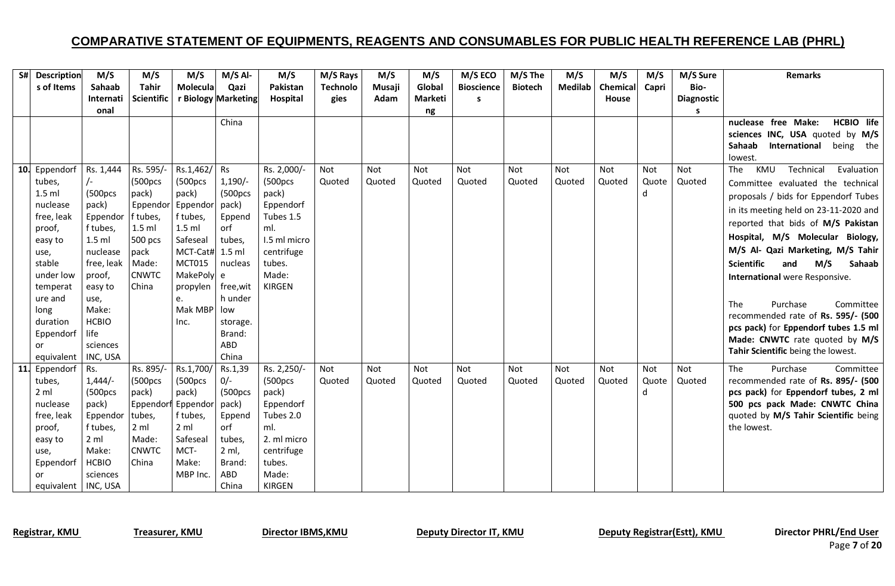|            | S# Description            | M/S                        | M/S                   | M/S                         | $M/S$ Al-           | M/S                | M/S Rays        | M/S    | M/S     | M/S ECO           | M/S The        | M/S     | M/S          | M/S   | M/S Sure          | <b>Remarks</b>                                                       |
|------------|---------------------------|----------------------------|-----------------------|-----------------------------|---------------------|--------------------|-----------------|--------|---------|-------------------|----------------|---------|--------------|-------|-------------------|----------------------------------------------------------------------|
|            | s of Items                | Sahaab                     | <b>Tahir</b>          | Molecula                    | Qazi                | Pakistan           | <b>Technolo</b> | Musaji | Global  | <b>Bioscience</b> | <b>Biotech</b> | Medilab | Chemical     | Capri | Bio-              |                                                                      |
|            |                           | Internati                  | <b>Scientific</b>     |                             | r Biology Marketing | Hospital           | gies            | Adam   | Marketi | s                 |                |         | <b>House</b> |       | <b>Diagnostic</b> |                                                                      |
|            |                           | onal                       |                       |                             |                     |                    |                 |        | ng      |                   |                |         |              |       | s                 |                                                                      |
|            |                           |                            |                       |                             | China               |                    |                 |        |         |                   |                |         |              |       |                   | HCBIO life<br>nuclease free Make:                                    |
|            |                           |                            |                       |                             |                     |                    |                 |        |         |                   |                |         |              |       |                   | sciences INC, USA quoted by M/S<br>Sahaab<br>International being the |
|            |                           |                            |                       |                             |                     |                    |                 |        |         |                   |                |         |              |       |                   | lowest.                                                              |
|            | 10. Eppendorf   Rs. 1,444 |                            | Rs. 595/-             | Rs.1,462/ Rs                |                     | Rs. 2,000/-        | Not             | Not    | Not     | Not               | <b>Not</b>     | Not     | Not          | Not   | Not               | Technical<br>KMU<br>Evaluation<br>The                                |
|            | tubes,                    | $\sqrt{-}$                 | (500pcs               | (500pcs                     | $1,190/-$           | (500pcs            | Quoted          | Quoted | Quoted  | Quoted            | Quoted         | Quoted  | Quoted       | Quote | Quoted            | Committee evaluated the technical                                    |
|            | $1.5$ ml                  | (500pcs                    | pack)                 | pack)                       | (500pcs             | pack)              |                 |        |         |                   |                |         |              | d     |                   | proposals / bids for Eppendorf Tubes                                 |
|            | nuclease                  | pack)                      | Eppendor Eppendor     |                             | pack)               | Eppendorf          |                 |        |         |                   |                |         |              |       |                   | in its meeting held on 23-11-2020 and                                |
|            | free, leak                | Eppendor                   | f tubes,              | f tubes,                    | Eppend              | Tubes 1.5          |                 |        |         |                   |                |         |              |       |                   | reported that bids of M/S Pakistan                                   |
|            | proof,                    | f tubes,                   | $1.5$ ml              | $1.5$ ml                    | orf                 | ml.                |                 |        |         |                   |                |         |              |       |                   |                                                                      |
|            | easy to                   | $1.5$ ml                   | 500 pcs               | Safeseal                    | tubes,              | 1.5 ml micro       |                 |        |         |                   |                |         |              |       |                   | Hospital, M/S Molecular Biology,                                     |
|            | use,                      | nuclease                   | pack                  | MCT-Cat# 1.5 ml             |                     | centrifuge         |                 |        |         |                   |                |         |              |       |                   | M/S Al- Qazi Marketing, M/S Tahir                                    |
|            | stable                    | free, leak                 | Made:<br><b>CNWTC</b> | <b>MCT015</b><br>MakePoly e | nucleas             | tubes.<br>Made:    |                 |        |         |                   |                |         |              |       |                   | M/S<br>Scientific<br>and<br><b>Sahaab</b>                            |
|            | under low<br>temperat     | proof,                     | China                 |                             | free,wit            | KIRGEN             |                 |        |         |                   |                |         |              |       |                   | International were Responsive.                                       |
|            | ure and                   | easy to<br>use,            |                       | propylen<br>e.              | h under             |                    |                 |        |         |                   |                |         |              |       |                   |                                                                      |
|            | long                      | Make:                      |                       | Mak MBP low                 |                     |                    |                 |        |         |                   |                |         |              |       |                   | Purchase<br>The<br>Committee                                         |
|            | duration                  | <b>HCBIO</b>               |                       | Inc.                        | storage.            |                    |                 |        |         |                   |                |         |              |       |                   | recommended rate of Rs. 595/- (500                                   |
|            | Eppendorf life            |                            |                       |                             | Brand:              |                    |                 |        |         |                   |                |         |              |       |                   | pcs pack) for Eppendorf tubes 1.5 ml                                 |
|            | or                        | sciences                   |                       |                             | ABD                 |                    |                 |        |         |                   |                |         |              |       |                   | Made: CNWTC rate quoted by M/S                                       |
|            | equivalent   INC, USA     |                            |                       |                             | China               |                    |                 |        |         |                   |                |         |              |       |                   | Tahir Scientific being the lowest.                                   |
| <b>11.</b> | Eppendorf                 | Rs.                        | Rs. 895/              | Rs.1,700/                   | Rs.1,39             | Rs. 2,250/-        | Not             | Not    | Not     | Not               | <b>Not</b>     | Not     | Not          | Not   | Not               | <b>The</b><br>Purchase<br>Committee                                  |
|            | tubes,                    | $1,444/-$                  | (500pcs               | (500pcs                     | $0/-$               | (500pcs            | Quoted          | Quoted | Quoted  | Quoted            | Quoted         | Quoted  | Quoted       | Quote | Quoted            | recommended rate of Rs. 895/- (500                                   |
|            | 2 <sub>m</sub>            | (500pcs                    | pack)                 | pack)                       | (500pcs             | pack)              |                 |        |         |                   |                |         |              | d     |                   | pcs pack) for Eppendorf tubes, 2 ml                                  |
|            | nuclease                  | pack)                      | Eppendor              | Eppendor                    | pack)               | Eppendorf          |                 |        |         |                   |                |         |              |       |                   | 500 pcs pack Made: CNWTC China                                       |
|            | free, leak                | Eppendor                   | tubes,                | f tubes,                    | Eppend              | Tubes 2.0          |                 |        |         |                   |                |         |              |       |                   | quoted by M/S Tahir Scientific being                                 |
|            | proof,                    | f tubes,<br>$2 \text{ ml}$ | 2 ml<br>Made:         | $2 \,$ ml<br>Safeseal       | orf<br>tubes.       | ml.<br>2. ml micro |                 |        |         |                   |                |         |              |       |                   | the lowest.                                                          |
|            | easy to<br>use,           | Make:                      | <b>CNWTC</b>          | MCT-                        | $2$ ml,             | centrifuge         |                 |        |         |                   |                |         |              |       |                   |                                                                      |
|            | Eppendorf                 | <b>HCBIO</b>               | China                 | Make:                       | Brand:              | tubes.             |                 |        |         |                   |                |         |              |       |                   |                                                                      |
|            | or                        | sciences                   |                       | MBP Inc.                    | ABD                 | Made:              |                 |        |         |                   |                |         |              |       |                   |                                                                      |
|            | equivalent   INC, USA     |                            |                       |                             | China               | <b>KIRGEN</b>      |                 |        |         |                   |                |         |              |       |                   |                                                                      |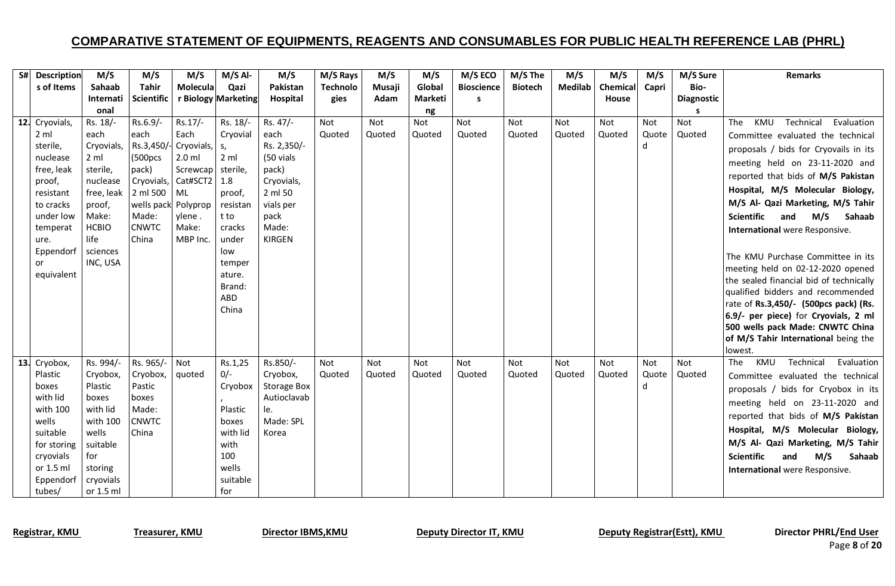| S# Description        | M/S                         | M/S                               | M/S                 | $M/S$ Al-           | M/S                | M/S Rays        | M/S    | M/S            | M/S ECO           | M/S The        | M/S            | M/S      | M/S   | M/S Sure          | <b>Remarks</b>                                  |
|-----------------------|-----------------------------|-----------------------------------|---------------------|---------------------|--------------------|-----------------|--------|----------------|-------------------|----------------|----------------|----------|-------|-------------------|-------------------------------------------------|
| s of Items            | Sahaab                      | <b>Tahir</b>                      | Molecula            | Qazi                | Pakistan           | <b>Technolo</b> | Musaji | Global         | <b>Bioscience</b> | <b>Biotech</b> | <b>Medilab</b> | Chemical | Capri | Bio-              |                                                 |
|                       | <b>Internati</b>            | <b>Scientific</b>                 |                     | r Biology Marketing | Hospital           | gies            | Adam   | <b>Marketi</b> | s                 |                |                | House    |       | <b>Diagnostic</b> |                                                 |
|                       | onal                        |                                   |                     |                     |                    |                 |        | ng             |                   |                |                |          |       | s                 |                                                 |
| 12. Cryovials,        | Rs. 18/-                    | Rs.6.9/-                          | Rs.17/-             | Rs. 18/-            | Rs. 47/-           | Not             | Not    | Not            | Not               | <b>Not</b>     | Not            | Not      | Not   | Not               | KMU<br>Technical<br>Evaluation<br>The           |
| 2 <sub>m</sub>        | each                        | each                              | Each                | Cryovial            | each               | Quoted          | Quoted | Quoted         | Quoted            | Quoted         | Quoted         | Quoted   | Quote | Quoted            | Committee evaluated the technical               |
| sterile,              | Cryovials,                  | $\left $ Rs.3,450/- Cryovials, s, |                     |                     | Rs. 2,350/-        |                 |        |                |                   |                |                |          | d     |                   | proposals / bids for Cryovails in its           |
| nuclease              | 2 <sub>m</sub>              | (500pcs                           | $2.0$ ml            | 2 <sub>m</sub>      | (50 vials          |                 |        |                |                   |                |                |          |       |                   | meeting held on 23-11-2020 and                  |
| free, leak            | sterile,                    | pack)                             | Screwcap sterile,   |                     | pack)              |                 |        |                |                   |                |                |          |       |                   | reported that bids of M/S Pakistan              |
| proof,                | nuclease                    |                                   | Cryovials, Cat#SCT2 | 1.8                 | Cryovials,         |                 |        |                |                   |                |                |          |       |                   | Hospital, M/S Molecular Biology,                |
| resistant             | free, leak $\vert$ 2 ml 500 |                                   | ML                  | proof,              | 2 ml 50            |                 |        |                |                   |                |                |          |       |                   | M/S Al- Qazi Marketing, M/S Tahir               |
| to cracks             | proof,<br>Make:             | wells pack Polyprop               |                     | resistan<br>t to    | vials per          |                 |        |                |                   |                |                |          |       |                   | <b>Scientific</b>                               |
| under low<br>temperat | <b>HCBIO</b>                | Made:<br><b>CNWTC</b>             | ylene.<br>Make:     | cracks              | pack<br>Made:      |                 |        |                |                   |                |                |          |       |                   | and<br>M/S<br>Sahaab                            |
| ure.                  | life                        | China                             | MBP Inc.            | under               | <b>KIRGEN</b>      |                 |        |                |                   |                |                |          |       |                   | International were Responsive.                  |
| Eppendorf             | sciences                    |                                   |                     | low                 |                    |                 |        |                |                   |                |                |          |       |                   |                                                 |
| or                    | INC, USA                    |                                   |                     | temper              |                    |                 |        |                |                   |                |                |          |       |                   | The KMU Purchase Committee in its               |
| equivalent            |                             |                                   |                     | ature.              |                    |                 |        |                |                   |                |                |          |       |                   | meeting held on 02-12-2020 opened               |
|                       |                             |                                   |                     | Brand:              |                    |                 |        |                |                   |                |                |          |       |                   | the sealed financial bid of technically         |
|                       |                             |                                   |                     | <b>ABD</b>          |                    |                 |        |                |                   |                |                |          |       |                   | qualified bidders and recommended               |
|                       |                             |                                   |                     | China               |                    |                 |        |                |                   |                |                |          |       |                   | rate of Rs.3,450/- (500pcs pack) (Rs.           |
|                       |                             |                                   |                     |                     |                    |                 |        |                |                   |                |                |          |       |                   | 6.9/- per piece) for Cryovials, 2 ml            |
|                       |                             |                                   |                     |                     |                    |                 |        |                |                   |                |                |          |       |                   | 500 wells pack Made: CNWTC China                |
|                       |                             |                                   |                     |                     |                    |                 |        |                |                   |                |                |          |       |                   | of M/S Tahir International being the<br>lowest. |
| 13. Cryobox,          | Rs. 994/-                   | Rs. 965/-                         | Not                 | Rs.1,25             | Rs.850/-           | Not             | Not    | <b>Not</b>     | Not               | Not            | Not            | Not      | Not   | Not               | KMU<br>Technical<br>Evaluation<br>The           |
| Plastic               | Cryobox,                    | Cryobox,                          | quoted              | $0/-$               | Cryobox,           | Quoted          | Quoted | Quoted         | Quoted            | Quoted         | Quoted         | Quoted   | Quote | Quoted            |                                                 |
| boxes                 | Plastic                     | Pastic                            |                     | Cryobox             | <b>Storage Box</b> |                 |        |                |                   |                |                |          | d     |                   | Committee evaluated the technical               |
| with lid              | boxes                       | boxes                             |                     |                     | Autioclavab        |                 |        |                |                   |                |                |          |       |                   | proposals / bids for Cryobox in its             |
| with 100              | with lid                    | Made:                             |                     | Plastic             | le.                |                 |        |                |                   |                |                |          |       |                   | meeting held on 23-11-2020 and                  |
| wells                 | with 100                    | <b>CNWTC</b>                      |                     | boxes               | Made: SPL          |                 |        |                |                   |                |                |          |       |                   | reported that bids of M/S Pakistan              |
| suitable              | wells                       | China                             |                     | with lid            | Korea              |                 |        |                |                   |                |                |          |       |                   | Hospital, M/S Molecular Biology,                |
| for storing           | suitable                    |                                   |                     | with                |                    |                 |        |                |                   |                |                |          |       |                   | M/S Al- Qazi Marketing, M/S Tahir               |
| cryovials             | for                         |                                   |                     | 100                 |                    |                 |        |                |                   |                |                |          |       |                   | M/S<br><b>Scientific</b><br>Sahaab<br>and       |
| or 1.5 ml             | storing                     |                                   |                     | wells               |                    |                 |        |                |                   |                |                |          |       |                   | International were Responsive.                  |
| Eppendorf             | cryovials                   |                                   |                     | suitable            |                    |                 |        |                |                   |                |                |          |       |                   |                                                 |
| tubes/                | or 1.5 ml                   |                                   |                     | for                 |                    |                 |        |                |                   |                |                |          |       |                   |                                                 |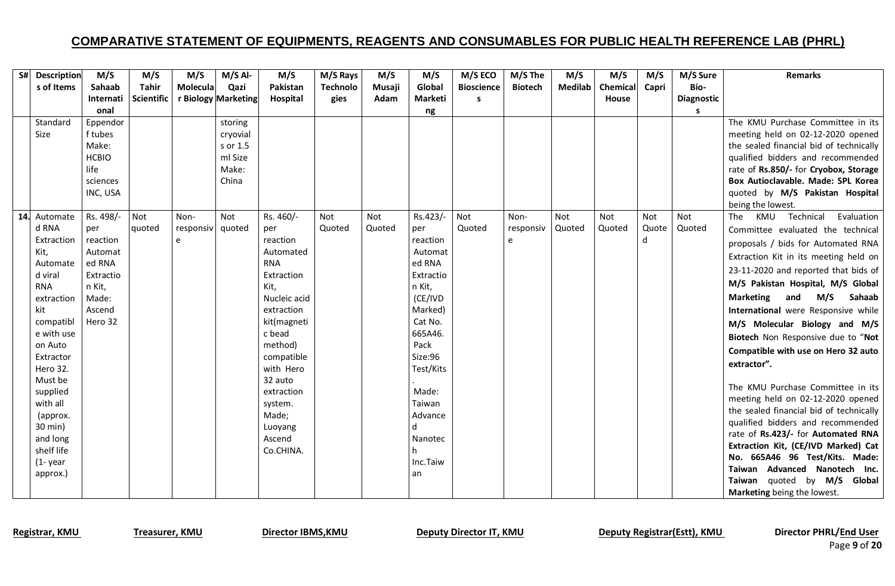| S# Description           | M/S             | M/S               | M/S              | $M/S$ Al-           | M/S                | M/S Rays        | M/S    | M/S               | M/S ECO           | M/S The        | M/S        | M/S      | M/S        | M/S Sure          | <b>Remarks</b>                                               |
|--------------------------|-----------------|-------------------|------------------|---------------------|--------------------|-----------------|--------|-------------------|-------------------|----------------|------------|----------|------------|-------------------|--------------------------------------------------------------|
| s of Items               | Sahaab          | <b>Tahir</b>      | Molecula         | Qazi                | Pakistan           | <b>Technolo</b> | Musaji | Global            | <b>Bioscience</b> | <b>Biotech</b> | Medilab    | Chemical | Capri      | Bio-              |                                                              |
|                          | Internati       | <b>Scientific</b> |                  | r Biology Marketing | Hospital           | gies            | Adam   | <b>Marketi</b>    | s                 |                |            | House    |            | <b>Diagnostic</b> |                                                              |
|                          | onal            |                   |                  |                     |                    |                 |        | ng                |                   |                |            |          |            | s                 |                                                              |
| Standard                 | Eppendor        |                   |                  | storing             |                    |                 |        |                   |                   |                |            |          |            |                   | The KMU Purchase Committee in its                            |
| Size                     | f tubes         |                   |                  | cryovial            |                    |                 |        |                   |                   |                |            |          |            |                   | meeting held on 02-12-2020 opened                            |
|                          | Make:           |                   |                  | s or 1.5            |                    |                 |        |                   |                   |                |            |          |            |                   | the sealed financial bid of technically                      |
|                          | <b>HCBIO</b>    |                   |                  | ml Size             |                    |                 |        |                   |                   |                |            |          |            |                   | qualified bidders and recommended                            |
|                          | life            |                   |                  | Make:               |                    |                 |        |                   |                   |                |            |          |            |                   | rate of Rs.850/- for Cryobox, Storage                        |
|                          | sciences        |                   |                  | China               |                    |                 |        |                   |                   |                |            |          |            |                   | Box Autioclavable. Made: SPL Korea                           |
|                          | INC, USA        |                   |                  |                     |                    |                 |        |                   |                   |                |            |          |            |                   | quoted by M/S Pakistan Hospital                              |
|                          |                 |                   |                  |                     |                    |                 |        |                   |                   |                |            |          |            |                   | being the lowest.                                            |
| 14. Automate             | Rs. 498/-       | Not               | Non-             | Not                 | Rs. 460/-          | Not             | Not    | Rs.423/-          | Not               | Non-           | <b>Not</b> | Not      | <b>Not</b> | Not               | Technical<br>Evaluation<br>KMU<br>The                        |
| d RNA                    | per             | quoted            | responsiv quoted |                     | per                | Quoted          | Quoted | per               | Quoted            | responsiv      | Quoted     | Quoted   | Quote      | Quoted            | Committee evaluated the technical                            |
| Extraction               | reaction        |                   | e                |                     | reaction           |                 |        | reaction          |                   | $\mathsf{e}$   |            |          | d          |                   | proposals / bids for Automated RNA                           |
| Kit,                     | Automat         |                   |                  |                     | Automated          |                 |        | Automat           |                   |                |            |          |            |                   | Extraction Kit in its meeting held on                        |
| Automate                 | ed RNA          |                   |                  |                     | <b>RNA</b>         |                 |        | ed RNA            |                   |                |            |          |            |                   | 23-11-2020 and reported that bids of                         |
| d viral                  | Extractio       |                   |                  |                     | Extraction<br>Kit, |                 |        | Extractio         |                   |                |            |          |            |                   | M/S Pakistan Hospital, M/S Global                            |
| <b>RNA</b><br>extraction | n Kit,<br>Made: |                   |                  |                     | Nucleic acid       |                 |        | n Kit,<br>(CE/IVD |                   |                |            |          |            |                   | M/S<br><b>Marketing</b><br>Sahaab<br>and                     |
| kit                      | Ascend          |                   |                  |                     | extraction         |                 |        | Marked)           |                   |                |            |          |            |                   | International were Responsive while                          |
| compatibl                | Hero 32         |                   |                  |                     | kit(magneti        |                 |        | Cat No.           |                   |                |            |          |            |                   |                                                              |
| e with use               |                 |                   |                  |                     | c bead             |                 |        | 665A46.           |                   |                |            |          |            |                   | M/S Molecular Biology and M/S                                |
| on Auto                  |                 |                   |                  |                     | method)            |                 |        | Pack              |                   |                |            |          |            |                   | Biotech Non Responsive due to "Not                           |
| Extractor                |                 |                   |                  |                     | compatible         |                 |        | Size:96           |                   |                |            |          |            |                   | Compatible with use on Hero 32 auto                          |
| Hero 32.                 |                 |                   |                  |                     | with Hero          |                 |        | Test/Kits         |                   |                |            |          |            |                   | extractor".                                                  |
| Must be                  |                 |                   |                  |                     | 32 auto            |                 |        |                   |                   |                |            |          |            |                   |                                                              |
| supplied                 |                 |                   |                  |                     | extraction         |                 |        | Made:             |                   |                |            |          |            |                   | The KMU Purchase Committee in its                            |
| with all                 |                 |                   |                  |                     | system.            |                 |        | Taiwan            |                   |                |            |          |            |                   | meeting held on 02-12-2020 opened                            |
| (approx.                 |                 |                   |                  |                     | Made;              |                 |        | Advance           |                   |                |            |          |            |                   | the sealed financial bid of technically                      |
| 30 min)                  |                 |                   |                  |                     | Luoyang            |                 |        |                   |                   |                |            |          |            |                   | qualified bidders and recommended                            |
| and long                 |                 |                   |                  |                     | Ascend             |                 |        | Nanotec           |                   |                |            |          |            |                   | rate of Rs.423/- for Automated RNA                           |
| shelf life               |                 |                   |                  |                     | Co.CHINA.          |                 |        |                   |                   |                |            |          |            |                   | Extraction Kit, (CE/IVD Marked) Cat                          |
| $(1 - year)$             |                 |                   |                  |                     |                    |                 |        | Inc.Taiw          |                   |                |            |          |            |                   | No. 665A46 96 Test/Kits. Made:                               |
| approx.)                 |                 |                   |                  |                     |                    |                 |        | l an              |                   |                |            |          |            |                   | Taiwan Advanced Nanotech Inc.<br>Taiwan quoted by M/S Global |
|                          |                 |                   |                  |                     |                    |                 |        |                   |                   |                |            |          |            |                   |                                                              |
|                          |                 |                   |                  |                     |                    |                 |        |                   |                   |                |            |          |            |                   | Marketing being the lowest.                                  |

Registrar, KMU Treasurer, KMU Director IBMS, KMU Deputy Director IT, KMU Deputy Registrar(Estt), KMU Director PHRL/End User

Page **9** of **20**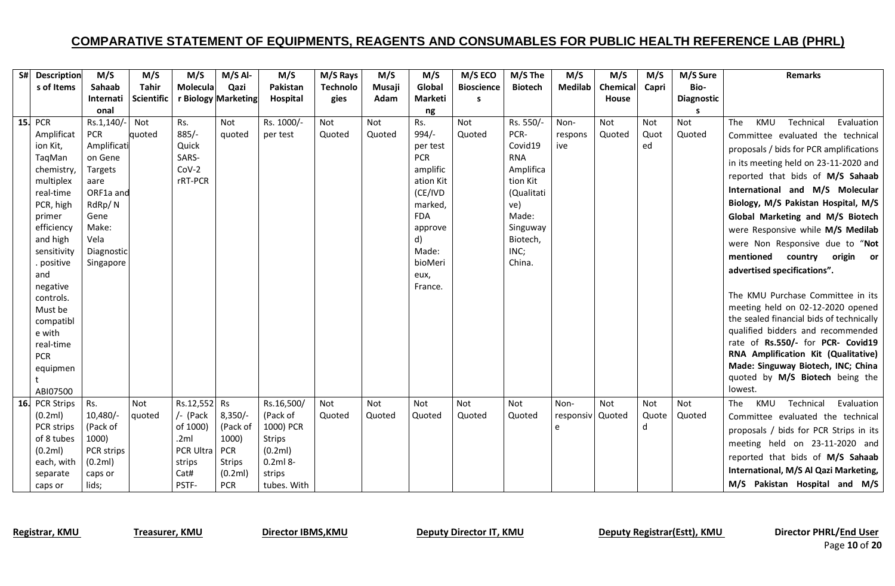| S# Description           | M/S               | M/S               | M/S                | $M/S$ Al-           | M/S                 | M/S Rays        | M/S    | M/S                   | M/S ECO           | M/S The               | M/S              | M/S      | M/S   | M/S Sure          | <b>Remarks</b>                                                        |
|--------------------------|-------------------|-------------------|--------------------|---------------------|---------------------|-----------------|--------|-----------------------|-------------------|-----------------------|------------------|----------|-------|-------------------|-----------------------------------------------------------------------|
| s of Items               | Sahaab            | <b>Tahir</b>      | <b>Molecula</b>    | Qazi                | Pakistan            | <b>Technolo</b> | Musaji | Global                | <b>Bioscience</b> | <b>Biotech</b>        | Medilab          | Chemical | Capri | Bio-              |                                                                       |
|                          | Internati         | <b>Scientific</b> |                    | r Biology Marketing | Hospital            | gies            | Adam   | Marketi               | s                 |                       |                  | House    |       | <b>Diagnostic</b> |                                                                       |
|                          | onal              |                   |                    |                     |                     |                 |        | ng                    |                   |                       |                  |          |       |                   |                                                                       |
| <b>15. PCR</b>           | Rs.1,140/-        | Not               | Rs.                | Not                 | Rs. 1000/-          | Not             | Not    | Rs.                   | Not               | Rs. 550/-             | Non-             | Not      | Not   | Not               | Technical<br>KMU<br>The<br>Evaluation                                 |
| Amplificat               | <b>PCR</b>        | quoted            | $885/-$            | quoted              | per test            | Quoted          | Quoted | $994/-$               | Quoted            | PCR-                  | respons          | Quoted   | Quot  | Quoted            | Committee evaluated the technical                                     |
| ion Kit,                 | Amplificati       |                   | Quick              |                     |                     |                 |        | per test              |                   | Covid19               | ive              |          | ed    |                   | proposals / bids for PCR amplifications                               |
| TaqMan                   | on Gene           |                   | SARS-              |                     |                     |                 |        | <b>PCR</b>            |                   | <b>RNA</b>            |                  |          |       |                   | in its meeting held on 23-11-2020 and                                 |
| chemistry,<br>multiplex  | Targets           |                   | $Cov-2$<br>rRT-PCR |                     |                     |                 |        | amplific<br>ation Kit |                   | Amplifica<br>tion Kit |                  |          |       |                   | reported that bids of M/S Sahaab                                      |
| real-time                | aare<br>ORF1a and |                   |                    |                     |                     |                 |        | (CE/IVD               |                   | (Qualitati            |                  |          |       |                   | International and M/S Molecular                                       |
| PCR, high                | RdRp/N            |                   |                    |                     |                     |                 |        | marked,               |                   | ve)                   |                  |          |       |                   | Biology, M/S Pakistan Hospital, M/S                                   |
| primer                   | Gene              |                   |                    |                     |                     |                 |        | <b>FDA</b>            |                   | Made:                 |                  |          |       |                   | Global Marketing and M/S Biotech                                      |
| efficiency               | Make:             |                   |                    |                     |                     |                 |        | approve               |                   | Singuway              |                  |          |       |                   | were Responsive while M/S Medilab                                     |
| and high                 | Vela              |                   |                    |                     |                     |                 |        | d)                    |                   | Biotech,              |                  |          |       |                   |                                                                       |
| sensitivity              | Diagnostic        |                   |                    |                     |                     |                 |        | Made:                 |                   | INC;                  |                  |          |       |                   | were Non Responsive due to "Not                                       |
| . positive               | Singapore         |                   |                    |                     |                     |                 |        | bioMeri               |                   | China.                |                  |          |       |                   | mentioned<br>country origin or                                        |
| and                      |                   |                   |                    |                     |                     |                 |        | eux,                  |                   |                       |                  |          |       |                   | advertised specifications".                                           |
| negative                 |                   |                   |                    |                     |                     |                 |        | France.               |                   |                       |                  |          |       |                   |                                                                       |
| controls.                |                   |                   |                    |                     |                     |                 |        |                       |                   |                       |                  |          |       |                   | The KMU Purchase Committee in its                                     |
| Must be                  |                   |                   |                    |                     |                     |                 |        |                       |                   |                       |                  |          |       |                   | meeting held on 02-12-2020 opened                                     |
| compatibl                |                   |                   |                    |                     |                     |                 |        |                       |                   |                       |                  |          |       |                   | the sealed financial bids of technically                              |
| e with                   |                   |                   |                    |                     |                     |                 |        |                       |                   |                       |                  |          |       |                   | qualified bidders and recommended                                     |
| real-time                |                   |                   |                    |                     |                     |                 |        |                       |                   |                       |                  |          |       |                   | rate of Rs.550/- for PCR- Covid19                                     |
| <b>PCR</b>               |                   |                   |                    |                     |                     |                 |        |                       |                   |                       |                  |          |       |                   | RNA Amplification Kit (Qualitative)                                   |
| equipmen                 |                   |                   |                    |                     |                     |                 |        |                       |                   |                       |                  |          |       |                   | Made: Singuway Biotech, INC; China<br>quoted by M/S Biotech being the |
| t                        |                   |                   |                    |                     |                     |                 |        |                       |                   |                       |                  |          |       |                   | lowest.                                                               |
| ABI07500                 |                   |                   |                    |                     |                     |                 |        |                       |                   |                       |                  |          |       |                   |                                                                       |
| 16. PCR Strips           | Rs.               | Not               | Rs.12,552 Rs       |                     | Rs.16,500/          | Not             | Not    | Not                   | Not               | Not                   | Non-             | Not      | Not   | Not               | KMU<br>Technical<br>Evaluation<br>The                                 |
| (0.2ml)                  | 10,480/-          | quoted            | /- (Pack           | $8,350/-$           | (Pack of            | Quoted          | Quoted | Quoted                | Quoted            | Quoted                | responsiv Quoted |          | Quote | Quoted            | Committee evaluated the technical                                     |
| PCR strips<br>of 8 tubes | (Pack of<br>1000) |                   | of 1000)<br>.2ml   | (Pack of<br>1000)   | 1000) PCR<br>Strips |                 |        |                       |                   |                       | e                |          | d     |                   | proposals / bids for PCR Strips in its                                |
| (0.2ml)                  | PCR strips        |                   | PCR Ultra          | <b>PCR</b>          | (0.2ml)             |                 |        |                       |                   |                       |                  |          |       |                   | meeting held on 23-11-2020 and                                        |
| each, with               | (0.2ml)           |                   | strips             | <b>Strips</b>       | $0.2ml8-$           |                 |        |                       |                   |                       |                  |          |       |                   | reported that bids of M/S Sahaab                                      |
| separate                 | caps or           |                   | Cat#               | (0.2ml)             | strips              |                 |        |                       |                   |                       |                  |          |       |                   | International, M/S Al Qazi Marketing,                                 |
| caps or                  | lids;             |                   | PSTF-              | <b>PCR</b>          | tubes. With         |                 |        |                       |                   |                       |                  |          |       |                   | M/S Pakistan Hospital and M/S                                         |

Page **10** of **20**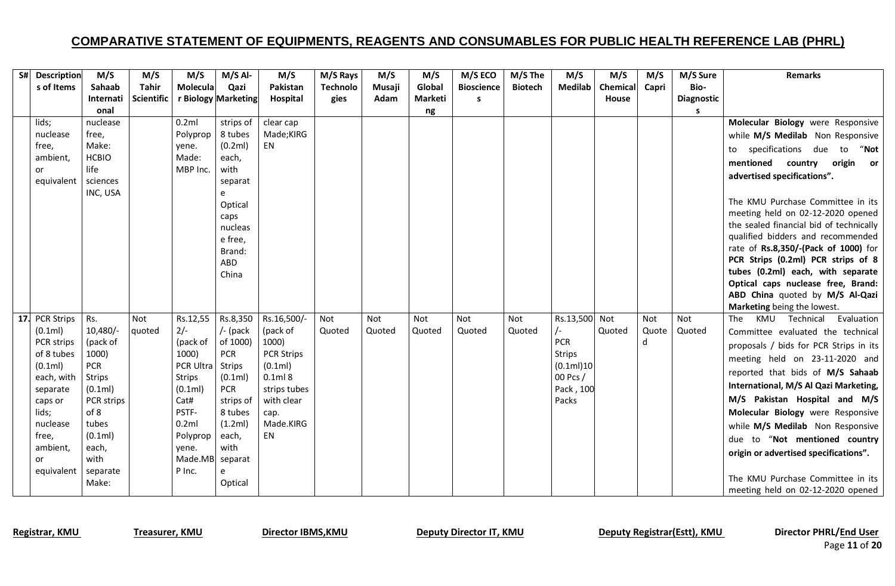| S# Description            | M/S                  | M/S               | M/S                      | $M/S$ Al-               | M/S                     | M/S Rays        | M/S           | M/S            | M/S ECO           | M/S The        | M/S                         | M/S      | M/S   | M/S Sure          | <b>Remarks</b>                                                    |
|---------------------------|----------------------|-------------------|--------------------------|-------------------------|-------------------------|-----------------|---------------|----------------|-------------------|----------------|-----------------------------|----------|-------|-------------------|-------------------------------------------------------------------|
| s of Items                | Sahaab               | <b>Tahir</b>      | Molecula                 | Qazi                    | Pakistan                | <b>Technolo</b> | Musaji        | Global         | <b>Bioscience</b> | <b>Biotech</b> | <b>Medilab</b>              | Chemical | Capri | Bio-              |                                                                   |
|                           | Internati            | <b>Scientific</b> |                          | r Biology Marketing     | Hospital                | gies            | Adam          | <b>Marketi</b> | s                 |                |                             | House    |       | <b>Diagnostic</b> |                                                                   |
|                           | onal                 |                   |                          |                         |                         |                 |               | ng             |                   |                |                             |          |       | s                 |                                                                   |
| lids;                     | nuclease             |                   | 0.2ml                    | strips of               | clear cap               |                 |               |                |                   |                |                             |          |       |                   | Molecular Biology were Responsive                                 |
| nuclease                  | free,                |                   | Polyprop                 | 8 tubes                 | Made;KIRG               |                 |               |                |                   |                |                             |          |       |                   | while M/S Medilab Non Responsive                                  |
| free,                     | Make:                |                   | yene.                    | (0.2ml)                 | EN                      |                 |               |                |                   |                |                             |          |       |                   | to specifications due to<br>"Not                                  |
| ambient,                  | <b>HCBIO</b>         |                   | Made:                    | each,                   |                         |                 |               |                |                   |                |                             |          |       |                   | mentioned country<br>origin<br>or                                 |
| or                        | life                 |                   | MBP Inc.                 | with                    |                         |                 |               |                |                   |                |                             |          |       |                   | advertised specifications".                                       |
| equivalent                | sciences<br>INC, USA |                   |                          | separat                 |                         |                 |               |                |                   |                |                             |          |       |                   |                                                                   |
|                           |                      |                   |                          | e<br>Optical            |                         |                 |               |                |                   |                |                             |          |       |                   | The KMU Purchase Committee in its                                 |
|                           |                      |                   |                          | caps                    |                         |                 |               |                |                   |                |                             |          |       |                   | meeting held on 02-12-2020 opened                                 |
|                           |                      |                   |                          | nucleas                 |                         |                 |               |                |                   |                |                             |          |       |                   | the sealed financial bid of technically                           |
|                           |                      |                   |                          | e free,                 |                         |                 |               |                |                   |                |                             |          |       |                   | qualified bidders and recommended                                 |
|                           |                      |                   |                          | Brand:                  |                         |                 |               |                |                   |                |                             |          |       |                   | rate of Rs.8,350/-(Pack of 1000) for                              |
|                           |                      |                   |                          | ABD                     |                         |                 |               |                |                   |                |                             |          |       |                   | PCR Strips (0.2ml) PCR strips of 8                                |
|                           |                      |                   |                          | China                   |                         |                 |               |                |                   |                |                             |          |       |                   | tubes (0.2ml) each, with separate                                 |
|                           |                      |                   |                          |                         |                         |                 |               |                |                   |                |                             |          |       |                   | Optical caps nuclease free, Brand:                                |
|                           |                      |                   |                          |                         |                         |                 |               |                |                   |                |                             |          |       |                   | ABD China quoted by M/S Al-Qazi                                   |
|                           |                      |                   |                          |                         |                         |                 |               |                |                   |                |                             |          | Not   | Not               | Marketing being the lowest.<br>Evaluation<br>The<br>KMU Technical |
| 17. PCR Strips<br>(0.1ml) | Rs.<br>$10,480/-$    | Not<br>quoted     | Rs.12,55<br>$2/-$        | Rs.8,350<br>$/$ - (pack | Rs.16,500/-<br>(pack of | Not<br>Quoted   | Not<br>Quoted | Not<br>Quoted  | Not<br>Quoted     | Not<br>Quoted  | Rs.13,500 Not<br>$\sqrt{-}$ | Quoted   | Quote | Quoted            | Committee evaluated the technical                                 |
| PCR strips                | (pack of             |                   | (pack of                 | of 1000)                | 1000)                   |                 |               |                |                   |                | <b>PCR</b>                  |          | d     |                   |                                                                   |
| of 8 tubes                | 1000)                |                   | 1000)                    | <b>PCR</b>              | <b>PCR Strips</b>       |                 |               |                |                   |                | Strips                      |          |       |                   | proposals / bids for PCR Strips in its                            |
| (0.1ml)                   | <b>PCR</b>           |                   | PCR Ultra                | Strips                  | (0.1ml)                 |                 |               |                |                   |                | (0.1ml)10                   |          |       |                   | meeting held on 23-11-2020 and                                    |
| each, with                | <b>Strips</b>        |                   | <b>Strips</b>            | (0.1ml)                 | 0.1ml8                  |                 |               |                |                   |                | 00 Pcs /                    |          |       |                   | reported that bids of M/S Sahaab                                  |
| separate                  | (0.1ml)              |                   | (0.1ml)                  | <b>PCR</b>              | strips tubes            |                 |               |                |                   |                | Pack, 100                   |          |       |                   | International, M/S Al Qazi Marketing,                             |
| caps or                   | PCR strips           |                   | Cat#                     | strips of               | with clear              |                 |               |                |                   |                | Packs                       |          |       |                   | M/S Pakistan Hospital and M/S                                     |
| lids;                     | of 8                 |                   | PSTF-                    | 8 tubes                 | cap.                    |                 |               |                |                   |                |                             |          |       |                   | Molecular Biology were Responsive                                 |
| nuclease                  | tubes                |                   | 0.2ml                    | (1.2ml)                 | Made.KIRG               |                 |               |                |                   |                |                             |          |       |                   | while M/S Medilab Non Responsive                                  |
| free,                     | (0.1ml)              |                   | Polyprop                 | each,<br>with           | EN                      |                 |               |                |                   |                |                             |          |       |                   | due to "Not mentioned country                                     |
| ambient,<br>or            | each,<br>with        |                   | vene.<br>Made.MB separat |                         |                         |                 |               |                |                   |                |                             |          |       |                   | origin or advertised specifications".                             |
| equivalent                | separate             |                   | P Inc.                   | e                       |                         |                 |               |                |                   |                |                             |          |       |                   |                                                                   |
|                           | Make:                |                   |                          | Optical                 |                         |                 |               |                |                   |                |                             |          |       |                   | The KMU Purchase Committee in its                                 |
|                           |                      |                   |                          |                         |                         |                 |               |                |                   |                |                             |          |       |                   | meeting held on 02-12-2020 opened                                 |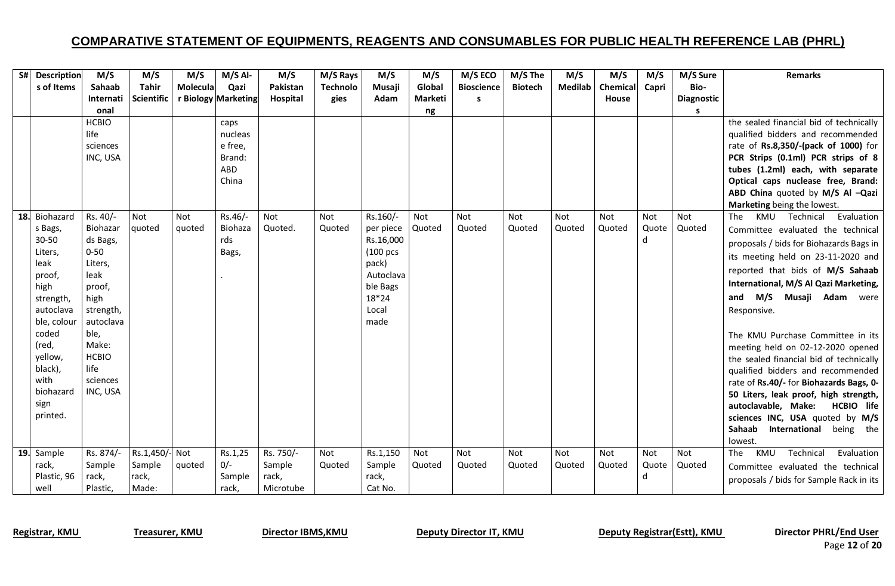| S# | <b>Description</b> | M/S                  | M/S               | M/S        | $M/S$ Al-           | M/S        | M/S Rays        | M/S       | M/S     | M/S ECO           | M/S The        | M/S            | M/S      | M/S   | M/S Sure          | <b>Remarks</b>                                                              |
|----|--------------------|----------------------|-------------------|------------|---------------------|------------|-----------------|-----------|---------|-------------------|----------------|----------------|----------|-------|-------------------|-----------------------------------------------------------------------------|
|    | s of Items         | Sahaab               | <b>Tahir</b>      | Molecula   | Qazi                | Pakistan   | <b>Technolo</b> | Musaji    | Global  | <b>Bioscience</b> | <b>Biotech</b> | <b>Medilab</b> | Chemical | Capri | Bio-              |                                                                             |
|    |                    | Internati            | <b>Scientific</b> |            | r Biology Marketing | Hospital   | gies            | Adam      | Marketi | S                 |                |                | House    |       | <b>Diagnostic</b> |                                                                             |
|    |                    | onal                 |                   |            |                     |            |                 |           | ng      |                   |                |                |          |       | s                 |                                                                             |
|    |                    | <b>HCBIO</b>         |                   |            | caps                |            |                 |           |         |                   |                |                |          |       |                   | the sealed financial bid of technically                                     |
|    |                    | life                 |                   |            | nucleas             |            |                 |           |         |                   |                |                |          |       |                   | qualified bidders and recommended                                           |
|    |                    | sciences             |                   |            | e free,             |            |                 |           |         |                   |                |                |          |       |                   | rate of Rs.8,350/-(pack of 1000) for                                        |
|    |                    | INC, USA             |                   |            | Brand:              |            |                 |           |         |                   |                |                |          |       |                   | PCR Strips (0.1ml) PCR strips of 8                                          |
|    |                    |                      |                   |            | ABD                 |            |                 |           |         |                   |                |                |          |       |                   | tubes (1.2ml) each, with separate                                           |
|    |                    |                      |                   |            | China               |            |                 |           |         |                   |                |                |          |       |                   | Optical caps nuclease free, Brand:                                          |
|    |                    |                      |                   |            |                     |            |                 |           |         |                   |                |                |          |       |                   | ABD China quoted by M/S Al -Qazi                                            |
|    | 18. Biohazard      | Rs. 40/-             | Not               | <b>Not</b> | Rs.46/-             | <b>Not</b> | Not             | Rs.160/-  | Not     | Not               | Not            | Not            | Not      | Not   | Not               | Marketing being the lowest.<br>Evaluation<br>KMU<br>Technical<br><b>The</b> |
|    | s Bags,            | Biohazar             | quoted            | quoted     | Biohaza             | Quoted.    | Quoted          | per piece | Quoted  | Quoted            | Quoted         | Quoted         | Quoted   | Quote | Quoted            | Committee evaluated the technical                                           |
|    | $30 - 50$          | ds Bags,             |                   |            | rds                 |            |                 | Rs.16,000 |         |                   |                |                |          | d     |                   |                                                                             |
|    | Liters,            | $0 - 50$             |                   |            | Bags,               |            |                 | (100 pcs  |         |                   |                |                |          |       |                   | proposals / bids for Biohazards Bags in                                     |
|    | leak               | Liters,              |                   |            |                     |            |                 | pack)     |         |                   |                |                |          |       |                   | its meeting held on 23-11-2020 and                                          |
|    | proof,             | leak                 |                   |            |                     |            |                 | Autoclava |         |                   |                |                |          |       |                   | reported that bids of M/S Sahaab                                            |
|    | high               | proof,               |                   |            |                     |            |                 | ble Bags  |         |                   |                |                |          |       |                   | International, M/S Al Qazi Marketing,                                       |
|    | strength,          | high                 |                   |            |                     |            |                 | 18*24     |         |                   |                |                |          |       |                   | M/S<br>Musaji Adam were<br>and                                              |
|    | autoclava          | strength,            |                   |            |                     |            |                 | Local     |         |                   |                |                |          |       |                   | Responsive.                                                                 |
|    | ble, colour        | autoclava            |                   |            |                     |            |                 | made      |         |                   |                |                |          |       |                   |                                                                             |
|    | coded              | ble,                 |                   |            |                     |            |                 |           |         |                   |                |                |          |       |                   | The KMU Purchase Committee in its                                           |
|    | (red,              | Make:                |                   |            |                     |            |                 |           |         |                   |                |                |          |       |                   | meeting held on 02-12-2020 opened                                           |
|    | yellow,            | <b>HCBIO</b>         |                   |            |                     |            |                 |           |         |                   |                |                |          |       |                   | the sealed financial bid of technically                                     |
|    | black),            | life                 |                   |            |                     |            |                 |           |         |                   |                |                |          |       |                   | qualified bidders and recommended                                           |
|    | with<br>biohazard  | sciences<br>INC, USA |                   |            |                     |            |                 |           |         |                   |                |                |          |       |                   | rate of Rs.40/- for Biohazards Bags, 0-                                     |
|    | sign               |                      |                   |            |                     |            |                 |           |         |                   |                |                |          |       |                   | 50 Liters, leak proof, high strength,                                       |
|    | printed.           |                      |                   |            |                     |            |                 |           |         |                   |                |                |          |       |                   | autoclavable, Make:<br>HCBIO life                                           |
|    |                    |                      |                   |            |                     |            |                 |           |         |                   |                |                |          |       |                   | sciences INC, USA quoted by M/S<br>Sahaab<br>International                  |
|    |                    |                      |                   |            |                     |            |                 |           |         |                   |                |                |          |       |                   | being the<br>lowest.                                                        |
|    | 19. Sample         | Rs. 874/-            | Rs.1,450/- Not    |            | Rs.1,25             | Rs. 750/-  | Not             | Rs.1,150  | Not     | <b>Not</b>        | <b>Not</b>     | <b>Not</b>     | Not      | Not   | Not               | Technical<br><b>The</b><br>KMU<br>Evaluation                                |
|    | rack,              | Sample               | Sample            | quoted     | $0/-$               | Sample     | Quoted          | Sample    | Quoted  | Quoted            | Quoted         | Quoted         | Quoted   | Quote | Quoted            | Committee evaluated the technical                                           |
|    | Plastic, 96        | rack,                | rack,             |            | Sample              | rack,      |                 | rack,     |         |                   |                |                |          | d     |                   | proposals / bids for Sample Rack in its                                     |
|    | well               | Plastic,             | Made:             |            | rack,               | Microtube  |                 | Cat No.   |         |                   |                |                |          |       |                   |                                                                             |

Page **12** of **20**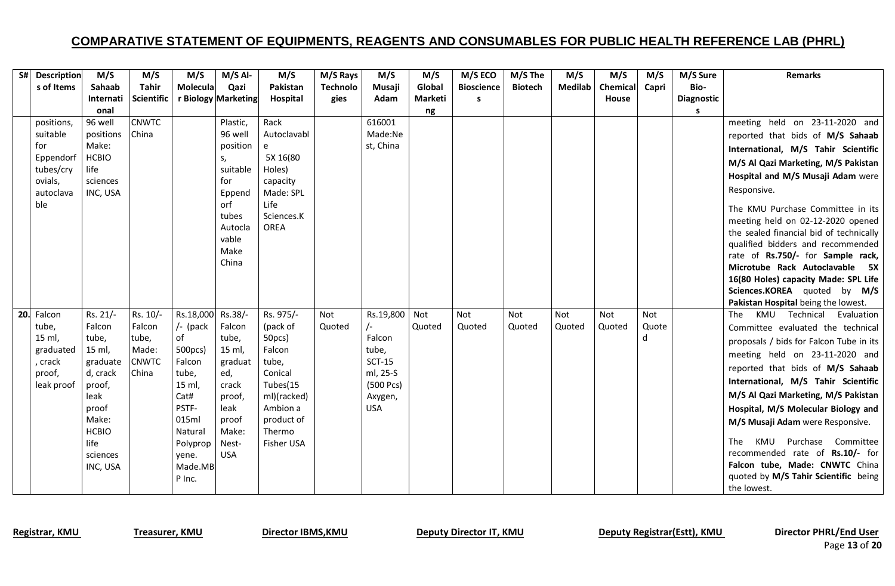| S# Description   | M/S                  | M/S               | M/S               | $M/S$ Al-           | M/S               | M/S Rays        | M/S        | M/S     | M/S ECO           | M/S The        | M/S            | M/S      | M/S   | M/S Sure          | <b>Remarks</b>                                                         |
|------------------|----------------------|-------------------|-------------------|---------------------|-------------------|-----------------|------------|---------|-------------------|----------------|----------------|----------|-------|-------------------|------------------------------------------------------------------------|
| s of Items       | Sahaab               | <b>Tahir</b>      | Molecula          | Qazi                | Pakistan          | <b>Technolo</b> | Musaji     | Global  | <b>Bioscience</b> | <b>Biotech</b> | <b>Medilab</b> | Chemical | Capri | Bio-              |                                                                        |
|                  | Internati            | <b>Scientific</b> |                   | r Biology Marketing | Hospital          | gies            | Adam       | Marketi | S                 |                |                | House    |       | <b>Diagnostic</b> |                                                                        |
|                  | onal                 |                   |                   |                     |                   |                 |            | ng      |                   |                |                |          |       | s                 |                                                                        |
| positions,       | 96 well              | <b>CNWTC</b>      |                   | Plastic,            | Rack              |                 | 616001     |         |                   |                |                |          |       |                   | meeting held on 23-11-2020 and                                         |
| suitable         | positions            | China             |                   | 96 well             | Autoclavabl       |                 | Made:Ne    |         |                   |                |                |          |       |                   | reported that bids of M/S Sahaab                                       |
| for              | Make:                |                   |                   | position            | e                 |                 | st, China  |         |                   |                |                |          |       |                   | International, M/S Tahir Scientific                                    |
| Eppendorf        | <b>HCBIO</b>         |                   |                   | S,                  | 5X 16(80          |                 |            |         |                   |                |                |          |       |                   | M/S Al Qazi Marketing, M/S Pakistan                                    |
| tubes/cry        | life                 |                   |                   | suitable            | Holes)            |                 |            |         |                   |                |                |          |       |                   | Hospital and M/S Musaji Adam were                                      |
| ovials,          | sciences             |                   |                   | for                 | capacity          |                 |            |         |                   |                |                |          |       |                   | Responsive.                                                            |
| autoclava<br>ble | INC, USA             |                   |                   | Eppend<br>orf       | Made: SPL<br>Life |                 |            |         |                   |                |                |          |       |                   |                                                                        |
|                  |                      |                   |                   | tubes               | Sciences.K        |                 |            |         |                   |                |                |          |       |                   | The KMU Purchase Committee in its                                      |
|                  |                      |                   |                   | Autocla             | <b>OREA</b>       |                 |            |         |                   |                |                |          |       |                   | meeting held on 02-12-2020 opened                                      |
|                  |                      |                   |                   | vable               |                   |                 |            |         |                   |                |                |          |       |                   | the sealed financial bid of technically                                |
|                  |                      |                   |                   | Make                |                   |                 |            |         |                   |                |                |          |       |                   | qualified bidders and recommended                                      |
|                  |                      |                   |                   | China               |                   |                 |            |         |                   |                |                |          |       |                   | rate of Rs.750/- for Sample rack,                                      |
|                  |                      |                   |                   |                     |                   |                 |            |         |                   |                |                |          |       |                   | Microtube Rack Autoclavable 5X<br>16(80 Holes) capacity Made: SPL Life |
|                  |                      |                   |                   |                     |                   |                 |            |         |                   |                |                |          |       |                   | Sciences.KOREA quoted by M/S                                           |
|                  |                      |                   |                   |                     |                   |                 |            |         |                   |                |                |          |       |                   | Pakistan Hospital being the lowest.                                    |
| 20. Falcon       | Rs. 21/-             | Rs. 10/-          | Rs.18,000         | Rs.38/-             | Rs. 975/-         | Not             | Rs.19,800  | Not     | Not               | <b>Not</b>     | Not            | Not      | Not   |                   | Technical Evaluation<br>The<br>KMU                                     |
| tube,            | Falcon               | Falcon            | $/$ - (pack       | Falcon              | (pack of          | Quoted          | $\sqrt{-}$ | Quoted  | Quoted            | Quoted         | Quoted         | Quoted   | Quote |                   | Committee evaluated the technical                                      |
| 15 ml.           | tube,                | tube,             | of                | tube,               | 50pcs)            |                 | Falcon     |         |                   |                |                |          | d     |                   | proposals / bids for Falcon Tube in its                                |
| graduated        | 15 ml,               | Made:             | 500pcs)           | 15 ml.              | Falcon            |                 | tube,      |         |                   |                |                |          |       |                   | meeting held on 23-11-2020 and                                         |
| , crack          | graduate             | <b>CNWTC</b>      | Falcon            | graduat             | tube,             |                 | $SCT-15$   |         |                   |                |                |          |       |                   |                                                                        |
| proof,           | d, crack             | China             | tube,             | ed,                 | Conical           |                 | ml, 25-S   |         |                   |                |                |          |       |                   | reported that bids of M/S Sahaab                                       |
| leak proof       | proof,               |                   | 15 ml,            | crack               | Tubes(15          |                 | (500 Pcs)  |         |                   |                |                |          |       |                   | International, M/S Tahir Scientific                                    |
|                  | leak                 |                   | Cat#              | proof,              | ml)(racked)       |                 | Axygen,    |         |                   |                |                |          |       |                   | M/S Al Qazi Marketing, M/S Pakistan                                    |
|                  | proof                |                   | PSTF-             | leak                | Ambion a          |                 | <b>USA</b> |         |                   |                |                |          |       |                   | Hospital, M/S Molecular Biology and                                    |
|                  | Make:                |                   | 015ml             | proof               | product of        |                 |            |         |                   |                |                |          |       |                   | M/S Musaji Adam were Responsive.                                       |
|                  | <b>HCBIO</b><br>life |                   | Natural           | Make:               | Thermo            |                 |            |         |                   |                |                |          |       |                   | Purchase Committee<br>KMU<br>The                                       |
|                  | sciences             |                   | Polyprop<br>vene. | Nest-<br><b>USA</b> | Fisher USA        |                 |            |         |                   |                |                |          |       |                   | recommended rate of Rs.10/- for                                        |
|                  | INC, USA             |                   | Made.MB           |                     |                   |                 |            |         |                   |                |                |          |       |                   | Falcon tube, Made: CNWTC China                                         |
|                  |                      |                   | P Inc.            |                     |                   |                 |            |         |                   |                |                |          |       |                   | quoted by M/S Tahir Scientific being                                   |
|                  |                      |                   |                   |                     |                   |                 |            |         |                   |                |                |          |       |                   | the lowest.                                                            |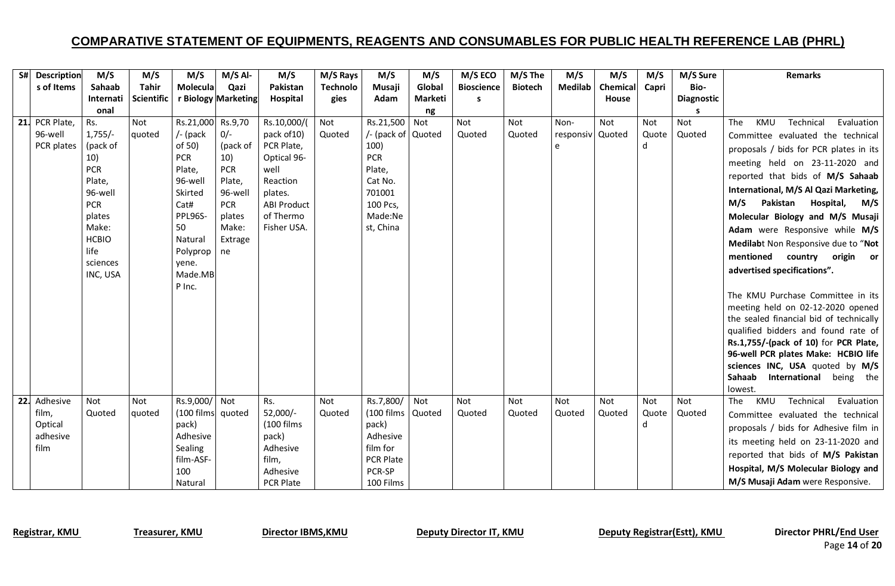|                  | S# Description | M/S             | M/S          | M/S                        | $M/S$ Al-           | M/S                       | M/S Rays        | M/S                            | M/S     | M/S ECO           | M/S The        | M/S              | M/S             | M/S        | M/S Sure          | <b>Remarks</b>                                      |
|------------------|----------------|-----------------|--------------|----------------------------|---------------------|---------------------------|-----------------|--------------------------------|---------|-------------------|----------------|------------------|-----------------|------------|-------------------|-----------------------------------------------------|
|                  | s of Items     | Sahaab          | <b>Tahir</b> | Molecula                   | Qazi                | Pakistan                  | <b>Technolo</b> | Musaji                         | Global  | <b>Bioscience</b> | <b>Biotech</b> | <b>Medilab</b>   | <b>Chemical</b> | Capri      | Bio-              |                                                     |
|                  |                | Internati       | Scientific   |                            | r Biology Marketing | Hospital                  | gies            | Adam                           | Marketi | s                 |                |                  | House           |            | <b>Diagnostic</b> |                                                     |
|                  |                | onal            |              |                            |                     |                           |                 |                                | ng      |                   |                |                  |                 |            |                   |                                                     |
| 21. PCR Plate,   |                | Rs.             | Not          | Rs.21,000 Rs.9,70          |                     | Rs.10,000/(               | Not             | Rs.21,500                      | Not     | Not               | <b>Not</b>     | Non-             | Not             | Not        | Not               | Technical<br><b>KMU</b><br>Evaluation<br><b>The</b> |
|                  | 96-well        | $1,755/-$       | quoted       | $/$ - (pack                | $0/-$               | pack of 10)               | Quoted          | /- (pack of Quoted             |         | Quoted            | Quoted         | responsiv Quoted |                 | Quote      | Quoted            | Committee evaluated the technical                   |
|                  | PCR plates     | (pack of<br>10) |              | of 50)                     | (pack of            | PCR Plate,<br>Optical 96- |                 | 100)<br><b>PCR</b>             |         |                   |                | e                |                 | d          |                   | proposals / bids for PCR plates in its              |
|                  |                | <b>PCR</b>      |              | <b>PCR</b><br>Plate,       | 10)<br><b>PCR</b>   | well                      |                 | Plate,                         |         |                   |                |                  |                 |            |                   | meeting held on 23-11-2020 and                      |
|                  |                | Plate,          |              | 96-well                    | Plate,              | Reaction                  |                 | Cat No.                        |         |                   |                |                  |                 |            |                   | reported that bids of M/S Sahaab                    |
|                  |                | 96-well         |              | Skirted                    | 96-well             | plates.                   |                 | 701001                         |         |                   |                |                  |                 |            |                   | International, M/S Al Qazi Marketing,               |
|                  |                | <b>PCR</b>      |              | Cat#                       | <b>PCR</b>          | <b>ABI Product</b>        |                 | 100 Pcs,                       |         |                   |                |                  |                 |            |                   | M/S<br>Pakistan<br>Hospital,<br>M/S                 |
|                  |                | plates          |              | PPL96S-                    | plates              | of Thermo                 |                 | Made:Ne                        |         |                   |                |                  |                 |            |                   | Molecular Biology and M/S Musaji                    |
|                  |                | Make:           |              | 50                         | Make:               | Fisher USA.               |                 | st, China                      |         |                   |                |                  |                 |            |                   | Adam were Responsive while M/S                      |
|                  |                | <b>HCBIO</b>    |              | Natural                    | Extrage             |                           |                 |                                |         |                   |                |                  |                 |            |                   | Medilabt Non Responsive due to "Not                 |
|                  |                | life            |              | Polyprop                   | ne                  |                           |                 |                                |         |                   |                |                  |                 |            |                   | mentioned country origin or                         |
|                  |                | sciences        |              | yene.                      |                     |                           |                 |                                |         |                   |                |                  |                 |            |                   | advertised specifications".                         |
|                  |                | INC, USA        |              | Made.MB                    |                     |                           |                 |                                |         |                   |                |                  |                 |            |                   |                                                     |
|                  |                |                 |              | P Inc.                     |                     |                           |                 |                                |         |                   |                |                  |                 |            |                   | The KMU Purchase Committee in its                   |
|                  |                |                 |              |                            |                     |                           |                 |                                |         |                   |                |                  |                 |            |                   | meeting held on 02-12-2020 opened                   |
|                  |                |                 |              |                            |                     |                           |                 |                                |         |                   |                |                  |                 |            |                   | the sealed financial bid of technically             |
|                  |                |                 |              |                            |                     |                           |                 |                                |         |                   |                |                  |                 |            |                   | qualified bidders and found rate of                 |
|                  |                |                 |              |                            |                     |                           |                 |                                |         |                   |                |                  |                 |            |                   | Rs.1,755/-(pack of 10) for PCR Plate,               |
|                  |                |                 |              |                            |                     |                           |                 |                                |         |                   |                |                  |                 |            |                   | 96-well PCR plates Make: HCBIO life                 |
|                  |                |                 |              |                            |                     |                           |                 |                                |         |                   |                |                  |                 |            |                   | sciences INC, USA quoted by M/S                     |
|                  |                |                 |              |                            |                     |                           |                 |                                |         |                   |                |                  |                 |            |                   | Sahaab<br>International being the                   |
|                  |                |                 |              |                            |                     |                           |                 |                                |         |                   |                |                  |                 |            |                   | lowest.                                             |
| 22. Adhesive     |                | Not             | Not          | Rs.9,000/ Not              |                     | Rs.<br>52,000/-           | Not             | Rs.7,800/<br>(100 films Quoted | Not     | Not               | <b>Not</b>     | Not              | Not             | Not        | Not               | KMU<br>Technical<br>Evaluation<br>The               |
| film,<br>Optical |                | Quoted          | quoted       | (100 films quoted<br>pack) |                     | (100 films                | Quoted          | pack)                          |         | Quoted            | Quoted         | Quoted           | Quoted          | Quote<br>d | Quoted            | Committee evaluated the technical                   |
|                  | adhesive       |                 |              | Adhesive                   |                     | pack)                     |                 | Adhesive                       |         |                   |                |                  |                 |            |                   | proposals / bids for Adhesive film in               |
| film             |                |                 |              | Sealing                    |                     | Adhesive                  |                 | film for                       |         |                   |                |                  |                 |            |                   | its meeting held on 23-11-2020 and                  |
|                  |                |                 |              | film-ASF-                  |                     | film,                     |                 | <b>PCR Plate</b>               |         |                   |                |                  |                 |            |                   | reported that bids of M/S Pakistan                  |
|                  |                |                 |              | 100                        |                     | Adhesive                  |                 | PCR-SP                         |         |                   |                |                  |                 |            |                   | Hospital, M/S Molecular Biology and                 |
|                  |                |                 |              | Natural                    |                     | <b>PCR Plate</b>          |                 | 100 Films                      |         |                   |                |                  |                 |            |                   | M/S Musaji Adam were Responsive.                    |

Page **14** of **20**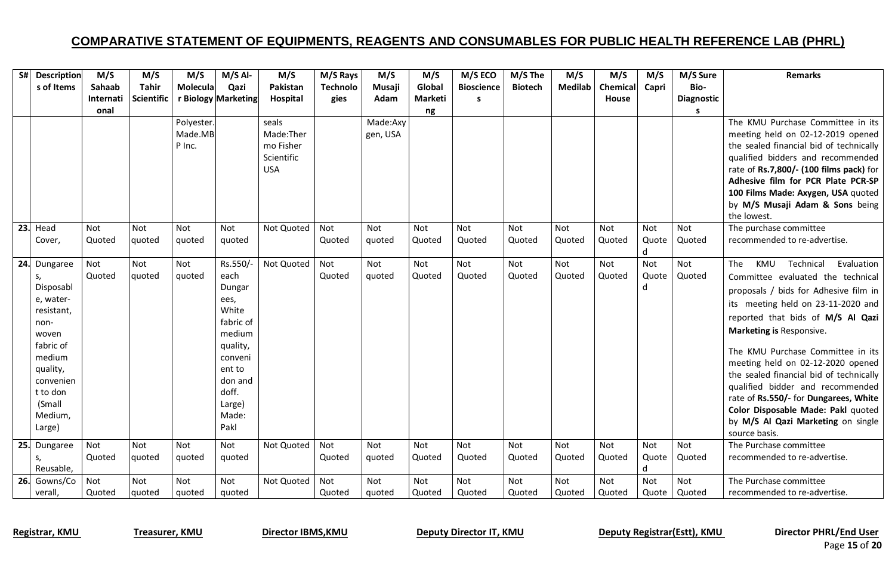| S#<br><b>Description</b> | M/S        | M/S               | M/S             | $M/S$ Al-           | M/S        | M/S Rays        | M/S      | M/S            | M/S ECO           | M/S The        | M/S        | M/S      | M/S   | M/S Sure          | <b>Remarks</b>                          |
|--------------------------|------------|-------------------|-----------------|---------------------|------------|-----------------|----------|----------------|-------------------|----------------|------------|----------|-------|-------------------|-----------------------------------------|
| s of Items               | Sahaab     | <b>Tahir</b>      | <b>Molecula</b> | Qazi                | Pakistan   | <b>Technolo</b> | Musaji   | Global         | <b>Bioscience</b> | <b>Biotech</b> | Medilab    | Chemical | Capri | Bio-              |                                         |
|                          | Internati  | <b>Scientific</b> |                 | r Biology Marketing | Hospital   | gies            | Adam     | <b>Marketi</b> | s                 |                |            | House    |       | <b>Diagnostic</b> |                                         |
|                          | onal       |                   |                 |                     |            |                 |          | ng             |                   |                |            |          |       | s                 |                                         |
|                          |            |                   | Polyester.      |                     | seals      |                 | Made:Axy |                |                   |                |            |          |       |                   | The KMU Purchase Committee in its       |
|                          |            |                   | Made.MB         |                     | Made:Ther  |                 | gen, USA |                |                   |                |            |          |       |                   | meeting held on 02-12-2019 opened       |
|                          |            |                   | P Inc.          |                     | mo Fisher  |                 |          |                |                   |                |            |          |       |                   | the sealed financial bid of technically |
|                          |            |                   |                 |                     | Scientific |                 |          |                |                   |                |            |          |       |                   | qualified bidders and recommended       |
|                          |            |                   |                 |                     | <b>USA</b> |                 |          |                |                   |                |            |          |       |                   | rate of Rs.7,800/- (100 films pack) for |
|                          |            |                   |                 |                     |            |                 |          |                |                   |                |            |          |       |                   | Adhesive film for PCR Plate PCR-SP      |
|                          |            |                   |                 |                     |            |                 |          |                |                   |                |            |          |       |                   | 100 Films Made: Axygen, USA quoted      |
|                          |            |                   |                 |                     |            |                 |          |                |                   |                |            |          |       |                   | by M/S Musaji Adam & Sons being         |
|                          |            |                   |                 |                     |            |                 |          |                |                   |                |            |          |       |                   | the lowest.                             |
| $23.$ Head               | <b>Not</b> | Not               | <b>Not</b>      | Not                 | Not Quoted | Not             | Not      | <b>Not</b>     | <b>Not</b>        | <b>Not</b>     | Not        | Not      | Not   | Not               | The purchase committee                  |
| Cover,                   | Quoted     | quoted            | quoted          | quoted              |            | Quoted          | quoted   | Quoted         | Quoted            | Quoted         | Quoted     | Quoted   | Quote | Quoted            | recommended to re-advertise.            |
|                          |            |                   |                 |                     |            |                 |          |                |                   |                |            |          | d     |                   |                                         |
| 24. Dungaree             | Not        | Not               | Not             | Rs.550/-            | Not Quoted | Not             | Not      | Not            | Not               | Not            | Not        | Not      | Not   | Not               | The<br>KMU<br>Technical<br>Evaluation   |
| S,                       | Quoted     | quoted            | auoted          | each                |            | Quoted          | quoted   | Quoted         | Quoted            | Quoted         | Quoted     | Quoted   | Quote | Quoted            | Committee evaluated the technical       |
| Disposabl                |            |                   |                 | Dungar              |            |                 |          |                |                   |                |            |          | d     |                   | proposals / bids for Adhesive film in   |
| e, water-                |            |                   |                 | ees,<br>White       |            |                 |          |                |                   |                |            |          |       |                   | its meeting held on 23-11-2020 and      |
| resistant,               |            |                   |                 | fabric of           |            |                 |          |                |                   |                |            |          |       |                   | reported that bids of M/S Al Qazi       |
| non-<br>woven            |            |                   |                 | medium              |            |                 |          |                |                   |                |            |          |       |                   | Marketing is Responsive.                |
| fabric of                |            |                   |                 | quality,            |            |                 |          |                |                   |                |            |          |       |                   |                                         |
| medium                   |            |                   |                 | conveni             |            |                 |          |                |                   |                |            |          |       |                   | The KMU Purchase Committee in its       |
| quality,                 |            |                   |                 | ent to              |            |                 |          |                |                   |                |            |          |       |                   | meeting held on 02-12-2020 opened       |
| convenien                |            |                   |                 | don and             |            |                 |          |                |                   |                |            |          |       |                   | the sealed financial bid of technically |
| t to don                 |            |                   |                 | doff.               |            |                 |          |                |                   |                |            |          |       |                   | qualified bidder and recommended        |
| (Small                   |            |                   |                 | Large)              |            |                 |          |                |                   |                |            |          |       |                   | rate of Rs.550/- for Dungarees, White   |
| Medium,                  |            |                   |                 | Made:               |            |                 |          |                |                   |                |            |          |       |                   | Color Disposable Made: Pakl quoted      |
| Large)                   |            |                   |                 | Pakl                |            |                 |          |                |                   |                |            |          |       |                   | by M/S Al Qazi Marketing on single      |
|                          |            |                   |                 |                     |            |                 |          |                |                   |                |            |          |       |                   | source basis.                           |
| 25. Dungaree             | Not        | <b>Not</b>        | <b>Not</b>      | Not                 | Not Quoted | Not             | Not      | Not            | <b>Not</b>        | <b>Not</b>     | <b>Not</b> | Not      | Not   | <b>Not</b>        | The Purchase committee                  |
| S,                       | Quoted     | quoted            | quoted          | quoted              |            | Quoted          | quoted   | Quoted         | Quoted            | Quoted         | Quoted     | Quoted   | Quote | Quoted            | recommended to re-advertise.            |
| Reusable,                |            |                   |                 |                     |            |                 |          |                |                   |                |            |          | d     |                   |                                         |
| 26. Gowns/Co             | Not        | Not               | Not             | Not                 | Not Quoted | Not             | Not      | Not            | Not               | Not            | <b>Not</b> | Not      | Not   | Not               | The Purchase committee                  |
| verall,                  | Quoted     | quoted            | auoted          | quoted              |            | Quoted          | quoted   | Quoted         | Quoted            | Quoted         | Quoted     | Quoted   | Quote | Quoted            | recommended to re-advertise.            |

Registrar, KMU Treasurer, KMU Director IBMS, KMU Deputy Director IT, KMU Deputy Registrar(Estt), KMU Director PHRL/End User

Page **15** of **20**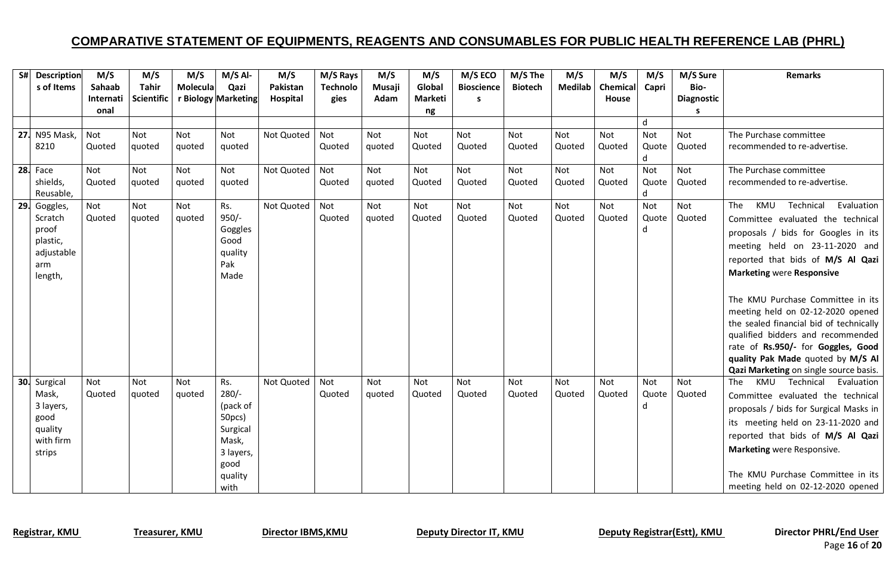| S# Description                                                               | M/S               | M/S                  | M/S           | $M/S$ Al-                                                                                         | M/S        | M/S Rays        | M/S           | M/S           | M/S ECO           | M/S The              | M/S            | M/S           | M/S               | M/S Sure               | <b>Remarks</b>                                                                                                                                                                                                                                                                                                                                                                                                                                                                                              |
|------------------------------------------------------------------------------|-------------------|----------------------|---------------|---------------------------------------------------------------------------------------------------|------------|-----------------|---------------|---------------|-------------------|----------------------|----------------|---------------|-------------------|------------------------|-------------------------------------------------------------------------------------------------------------------------------------------------------------------------------------------------------------------------------------------------------------------------------------------------------------------------------------------------------------------------------------------------------------------------------------------------------------------------------------------------------------|
| s of Items                                                                   | Sahaab            | <b>Tahir</b>         | Molecula      | Qazi                                                                                              | Pakistan   | <b>Technolo</b> | Musaji        | Global        | <b>Bioscience</b> | <b>Biotech</b>       | <b>Medilab</b> | Chemical      | Capri             | Bio-                   |                                                                                                                                                                                                                                                                                                                                                                                                                                                                                                             |
|                                                                              | Internati<br>onal | <b>Scientific</b>    |               | r Biology Marketing                                                                               | Hospital   | gies            | Adam          | Marketi       | S.                |                      |                | House         |                   | <b>Diagnostic</b><br>s |                                                                                                                                                                                                                                                                                                                                                                                                                                                                                                             |
|                                                                              |                   |                      |               |                                                                                                   |            |                 |               | ng            |                   |                      |                |               | d                 |                        |                                                                                                                                                                                                                                                                                                                                                                                                                                                                                                             |
| 27. N95 Mask,                                                                | Not               | <b>Not</b>           | Not           | Not                                                                                               | Not Quoted | Not             | Not           | Not           | Not               | <b>Not</b>           | Not            | Not           | Not               | Not                    | The Purchase committee                                                                                                                                                                                                                                                                                                                                                                                                                                                                                      |
| 8210                                                                         | Quoted            | quoted               | quoted        | quoted                                                                                            |            | Quoted          | quoted        | Quoted        | Quoted            | Quoted               | Quoted         | Quoted        | Quote<br>d        | Quoted                 | recommended to re-advertise.                                                                                                                                                                                                                                                                                                                                                                                                                                                                                |
| <b>28.</b> Face                                                              | Not               | Not                  | Not           | Not                                                                                               | Not Quoted | Not             | Not           | Not           | Not               | Not                  | Not            | Not           | Not               | Not                    | The Purchase committee                                                                                                                                                                                                                                                                                                                                                                                                                                                                                      |
| shields,<br>Reusable,                                                        | Quoted            | quoted               | quoted        | quoted                                                                                            |            | Quoted          | quoted        | Quoted        | Quoted            | Quoted               | Quoted         | Quoted        | Quote<br>d        | Quoted                 | recommended to re-advertise.                                                                                                                                                                                                                                                                                                                                                                                                                                                                                |
| 29. Goggles,<br>Scratch<br>proof<br>plastic,<br>adjustable<br>arm<br>length, | Not<br>Quoted     | Not<br>quoted        | Not<br>quoted | Rs.<br>$950/-$<br>Goggles<br>Good<br>quality<br>Pak<br>Made                                       | Not Quoted | Not<br>Quoted   | Not<br>quoted | Not<br>Quoted | Not<br>Quoted     | Not<br>Quoted        | Not<br>Quoted  | Not<br>Quoted | Not<br>Quote<br>d | Not<br>Quoted          | Technical<br>Evaluation<br>The<br>KMU<br>Committee evaluated the technical<br>proposals / bids for Googles in its<br>meeting held on 23-11-2020 and<br>reported that bids of M/S Al Qazi<br><b>Marketing were Responsive</b><br>The KMU Purchase Committee in its<br>meeting held on 02-12-2020 opened<br>the sealed financial bid of technically<br>qualified bidders and recommended<br>rate of Rs.950/- for Goggles, Good<br>quality Pak Made quoted by M/S Al<br>Qazi Marketing on single source basis. |
| 30. Surgical<br>Mask,<br>3 layers,<br>good<br>quality<br>with firm<br>strips | Not<br>Quoted     | <b>Not</b><br>quoted | Not<br>quoted | Rs.<br>$280/-$<br>(pack of<br>50pcs)<br>Surgical<br>Mask,<br>3 layers,<br>good<br>quality<br>with | Not Quoted | Not<br>Quoted   | Not<br>quoted | Not<br>Quoted | Not<br>Quoted     | <b>Not</b><br>Quoted | Not<br>Quoted  | Not<br>Quoted | Not<br>Quote<br>d | Not<br>Quoted          | KMU Technical Evaluation<br>The<br>Committee evaluated the technical<br>proposals / bids for Surgical Masks in<br>its meeting held on 23-11-2020 and<br>reported that bids of M/S Al Qazi<br>Marketing were Responsive.<br>The KMU Purchase Committee in its<br>meeting held on 02-12-2020 opened                                                                                                                                                                                                           |

Registrar, KMU Treasurer, KMU Director IBMS, KMU Deputy Director IT, KMU Deputy Registrar(Estt), KMU Director PHRL/End User

Page **16** of **20**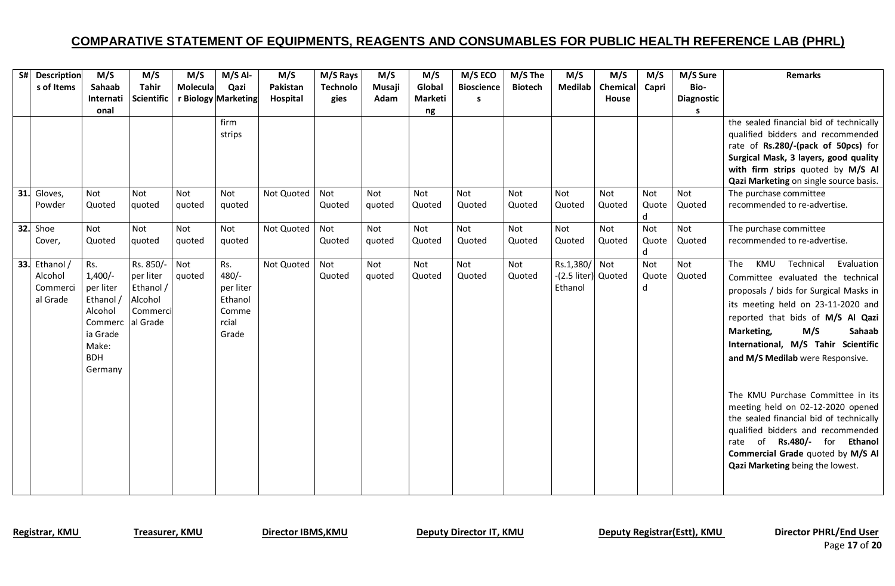| S# | <b>Description</b>   | M/S        | M/S               | M/S      | $M/S$ Al-           | M/S        | M/S Rays        | M/S    | M/S     | M/S ECO           | M/S The        | M/S                 | M/S      | M/S        | M/S Sure          | <b>Remarks</b>                          |
|----|----------------------|------------|-------------------|----------|---------------------|------------|-----------------|--------|---------|-------------------|----------------|---------------------|----------|------------|-------------------|-----------------------------------------|
|    | s of Items           | Sahaab     | <b>Tahir</b>      | Molecula | Qazi                | Pakistan   | <b>Technolo</b> | Musaji | Global  | <b>Bioscience</b> | <b>Biotech</b> | <b>Medilab</b>      | Chemical | Capri      | Bio-              |                                         |
|    |                      | Internati  | <b>Scientific</b> |          | r Biology Marketing | Hospital   | gies            | Adam   | Marketi | s                 |                |                     | House    |            | <b>Diagnostic</b> |                                         |
|    |                      | onal       |                   |          |                     |            |                 |        | ng      |                   |                |                     |          |            | S.                |                                         |
|    |                      |            |                   |          | firm                |            |                 |        |         |                   |                |                     |          |            |                   | the sealed financial bid of technically |
|    |                      |            |                   |          | strips              |            |                 |        |         |                   |                |                     |          |            |                   | qualified bidders and recommended       |
|    |                      |            |                   |          |                     |            |                 |        |         |                   |                |                     |          |            |                   | rate of Rs.280/-(pack of 50pcs) for     |
|    |                      |            |                   |          |                     |            |                 |        |         |                   |                |                     |          |            |                   | Surgical Mask, 3 layers, good quality   |
|    |                      |            |                   |          |                     |            |                 |        |         |                   |                |                     |          |            |                   | with firm strips quoted by M/S Al       |
|    |                      |            |                   |          |                     |            |                 |        |         |                   |                |                     |          |            |                   | Qazi Marketing on single source basis.  |
|    | 31. Gloves,          | Not        | Not               | Not      | Not                 | Not Quoted | Not             | Not    | Not     | Not               | Not            | Not                 | Not      | Not        | Not               | The purchase committee                  |
|    | Powder               | Quoted     | quoted            | quoted   | quoted              |            | Quoted          | quoted | Quoted  | Quoted            | Quoted         | Quoted              | Quoted   | Quote      | Quoted            | recommended to re-advertise.            |
|    |                      |            | Not               |          |                     |            |                 |        |         |                   |                |                     | Not      | d          | Not               |                                         |
|    | <b>32.</b> Shoe      | Not        |                   | Not      | Not                 | Not Quoted | Not             | Not    | Not     | Not               | Not            | Not                 |          | Not        |                   | The purchase committee                  |
|    | Cover,               | Quoted     | quoted            | quoted   | quoted              |            | Quoted          | quoted | Quoted  | Quoted            | Quoted         | Quoted              | Quoted   | Quote<br>d | Quoted            | recommended to re-advertise.            |
|    | <b>33.</b> Ethanol / | Rs.        | Rs. 850/-         | Not      | Rs.                 | Not Quoted | Not             | Not    | Not     | Not               | Not            | Rs.1,380/           | Not      | Not        | Not               | Technical<br>Evaluation<br>The<br>KMU   |
|    | Alcohol              | $1,400/-$  | per liter         | quoted   | $480/-$             |            | Quoted          | quoted | Quoted  | Quoted            | Quoted         | -(2.5 liter) Quoted |          | Quote      | Quoted            | Committee evaluated the technical       |
|    | Commerci             | per liter  | Ethanol /         |          | per liter           |            |                 |        |         |                   |                | Ethanol             |          | d          |                   |                                         |
|    | al Grade             | Ethanol /  | Alcohol           |          | Ethanol             |            |                 |        |         |                   |                |                     |          |            |                   | proposals / bids for Surgical Masks in  |
|    |                      | Alcohol    | Commerci          |          | Comme               |            |                 |        |         |                   |                |                     |          |            |                   | its meeting held on 23-11-2020 and      |
|    |                      | Commerc    | al Grade          |          | rcial               |            |                 |        |         |                   |                |                     |          |            |                   | reported that bids of M/S Al Qazi       |
|    |                      | ia Grade   |                   |          | Grade               |            |                 |        |         |                   |                |                     |          |            |                   | Marketing,<br>M/S<br>Sahaab             |
|    |                      | Make:      |                   |          |                     |            |                 |        |         |                   |                |                     |          |            |                   | International, M/S Tahir Scientific     |
|    |                      | <b>BDH</b> |                   |          |                     |            |                 |        |         |                   |                |                     |          |            |                   | and M/S Medilab were Responsive.        |
|    |                      | Germany    |                   |          |                     |            |                 |        |         |                   |                |                     |          |            |                   |                                         |
|    |                      |            |                   |          |                     |            |                 |        |         |                   |                |                     |          |            |                   |                                         |
|    |                      |            |                   |          |                     |            |                 |        |         |                   |                |                     |          |            |                   | The KMU Purchase Committee in its       |
|    |                      |            |                   |          |                     |            |                 |        |         |                   |                |                     |          |            |                   | meeting held on 02-12-2020 opened       |
|    |                      |            |                   |          |                     |            |                 |        |         |                   |                |                     |          |            |                   | the sealed financial bid of technically |
|    |                      |            |                   |          |                     |            |                 |        |         |                   |                |                     |          |            |                   | qualified bidders and recommended       |
|    |                      |            |                   |          |                     |            |                 |        |         |                   |                |                     |          |            |                   | rate of Rs.480/- for<br><b>Ethanol</b>  |
|    |                      |            |                   |          |                     |            |                 |        |         |                   |                |                     |          |            |                   | Commercial Grade quoted by M/S Al       |
|    |                      |            |                   |          |                     |            |                 |        |         |                   |                |                     |          |            |                   | Qazi Marketing being the lowest.        |
|    |                      |            |                   |          |                     |            |                 |        |         |                   |                |                     |          |            |                   |                                         |
|    |                      |            |                   |          |                     |            |                 |        |         |                   |                |                     |          |            |                   |                                         |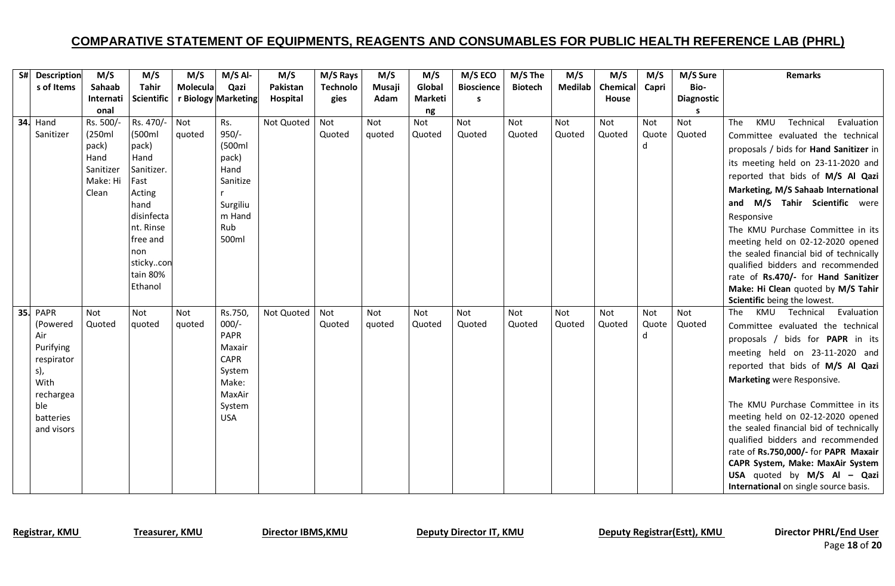| S# Description    | M/S                   | M/S               | M/S      | $M/S$ Al-             | M/S        | M/S Rays        | M/S    | M/S     | M/S ECO           | M/S The        | M/S            | M/S          | M/S   | M/S Sure   | <b>Remarks</b>                          |
|-------------------|-----------------------|-------------------|----------|-----------------------|------------|-----------------|--------|---------|-------------------|----------------|----------------|--------------|-------|------------|-----------------------------------------|
| s of Items        | Sahaab                | <b>Tahir</b>      | Molecula | Qazi                  | Pakistan   | <b>Technolo</b> | Musaji | Global  | <b>Bioscience</b> | <b>Biotech</b> | <b>Medilab</b> | Chemical     | Capri | Bio-       |                                         |
|                   | Internati             | <b>Scientific</b> |          | r Biology Marketing   | Hospital   | gies            | Adam   | Marketi | s                 |                |                | <b>House</b> |       | Diagnostic |                                         |
|                   | onal                  |                   |          |                       |            |                 |        | ng      |                   |                |                |              |       |            |                                         |
| <b>34.</b> Hand   | Rs. 500/-             | Rs. 470/-         | Not      | Rs.                   | Not Quoted | Not             | Not    | Not     | Not               | <b>Not</b>     | <b>Not</b>     | Not          | Not   | Not        | Technical<br>The<br>KMU<br>Evaluation   |
| Sanitizer         | (250ml                | (500ml            | quoted   | $950/-$               |            | Quoted          | quoted | Quoted  | Quoted            | Quoted         | Quoted         | Quoted       | Quote | Quoted     | Committee evaluated the technical       |
|                   | pack)                 | pack)             |          | (500ml                |            |                 |        |         |                   |                |                |              | d     |            | proposals / bids for Hand Sanitizer in  |
|                   | Hand                  | Hand              |          | pack)                 |            |                 |        |         |                   |                |                |              |       |            | its meeting held on 23-11-2020 and      |
|                   | Sanitizer<br>Make: Hi | Sanitizer.        |          | Hand<br>Sanitize      |            |                 |        |         |                   |                |                |              |       |            | reported that bids of M/S Al Qazi       |
|                   | Clean                 | Fast<br>Acting    |          |                       |            |                 |        |         |                   |                |                |              |       |            | Marketing, M/S Sahaab International     |
|                   |                       | hand              |          | Surgiliu              |            |                 |        |         |                   |                |                |              |       |            | and M/S Tahir Scientific were           |
|                   |                       | disinfecta        |          | m Hand                |            |                 |        |         |                   |                |                |              |       |            | Responsive                              |
|                   |                       | nt. Rinse         |          | Rub                   |            |                 |        |         |                   |                |                |              |       |            | The KMU Purchase Committee in its       |
|                   |                       | free and          |          | 500ml                 |            |                 |        |         |                   |                |                |              |       |            | meeting held on 02-12-2020 opened       |
|                   |                       | non               |          |                       |            |                 |        |         |                   |                |                |              |       |            | the sealed financial bid of technically |
|                   |                       | stickycon         |          |                       |            |                 |        |         |                   |                |                |              |       |            | qualified bidders and recommended       |
|                   |                       | tain 80%          |          |                       |            |                 |        |         |                   |                |                |              |       |            | rate of Rs.470/- for Hand Sanitizer     |
|                   |                       | Ethanol           |          |                       |            |                 |        |         |                   |                |                |              |       |            | Make: Hi Clean quoted by M/S Tahir      |
|                   |                       |                   |          |                       |            |                 |        |         |                   |                |                |              |       |            | Scientific being the lowest.            |
| <b>35. PAPR</b>   | Not                   | Not               | Not      | Rs.750,               | Not Quoted | Not             | Not    | Not     | Not               | <b>Not</b>     | Not            | Not          | Not   | Not        | Evaluation<br>KMU<br>Technical<br>The   |
| (Powered          | Quoted                | quoted            | quoted   | $000/-$               |            | Quoted          | quoted | Quoted  | Quoted            | Quoted         | Quoted         | Quoted       | Quote | Quoted     | Committee evaluated the technical       |
| Air               |                       |                   |          | <b>PAPR</b>           |            |                 |        |         |                   |                |                |              | d     |            | proposals / bids for PAPR in its        |
| Purifying         |                       |                   |          | Maxair<br><b>CAPR</b> |            |                 |        |         |                   |                |                |              |       |            | meeting held on 23-11-2020 and          |
| respirator<br>s), |                       |                   |          | System                |            |                 |        |         |                   |                |                |              |       |            | reported that bids of M/S Al Qazi       |
| With              |                       |                   |          | Make:                 |            |                 |        |         |                   |                |                |              |       |            | Marketing were Responsive.              |
| rechargea         |                       |                   |          | MaxAir                |            |                 |        |         |                   |                |                |              |       |            |                                         |
| ble               |                       |                   |          | System                |            |                 |        |         |                   |                |                |              |       |            | The KMU Purchase Committee in its       |
| batteries         |                       |                   |          | <b>USA</b>            |            |                 |        |         |                   |                |                |              |       |            | meeting held on 02-12-2020 opened       |
| and visors        |                       |                   |          |                       |            |                 |        |         |                   |                |                |              |       |            | the sealed financial bid of technically |
|                   |                       |                   |          |                       |            |                 |        |         |                   |                |                |              |       |            | qualified bidders and recommended       |
|                   |                       |                   |          |                       |            |                 |        |         |                   |                |                |              |       |            | rate of Rs.750,000/- for PAPR Maxair    |
|                   |                       |                   |          |                       |            |                 |        |         |                   |                |                |              |       |            | CAPR System, Make: MaxAir System        |
|                   |                       |                   |          |                       |            |                 |        |         |                   |                |                |              |       |            | USA quoted by M/S Al - Qazi             |
|                   |                       |                   |          |                       |            |                 |        |         |                   |                |                |              |       |            | International on single source basis.   |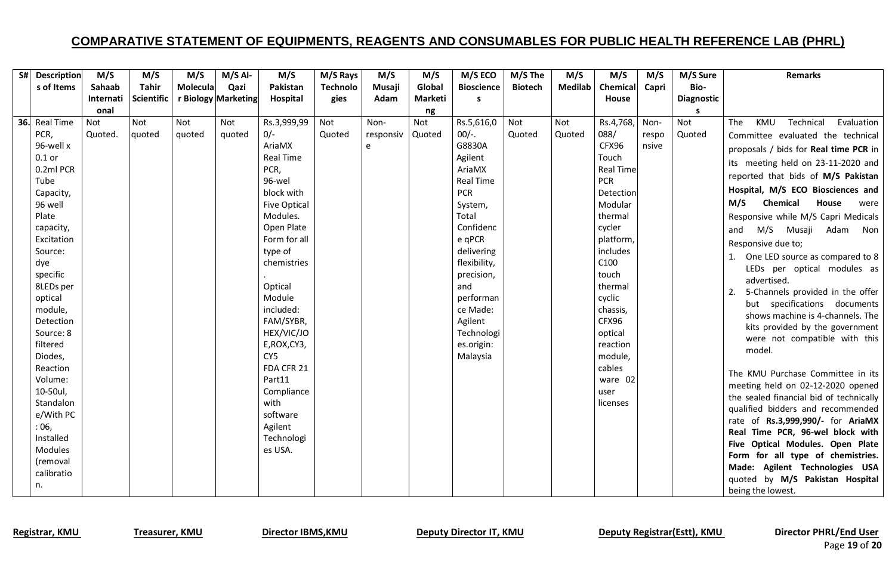| S# Description        | M/S        | M/S               | M/S      | $M/S$ Al-           | M/S                 | M/S Rays        | M/S       | M/S     | M/S ECO           | M/S The        | M/S            | M/S              | M/S   | M/S Sure          | <b>Remarks</b>                                                        |
|-----------------------|------------|-------------------|----------|---------------------|---------------------|-----------------|-----------|---------|-------------------|----------------|----------------|------------------|-------|-------------------|-----------------------------------------------------------------------|
| s of Items            | Sahaab     | <b>Tahir</b>      | Molecula | Qazi                | Pakistan            | <b>Technolo</b> | Musaji    | Global  | <b>Bioscience</b> | <b>Biotech</b> | <b>Medilab</b> | Chemical         | Capri | Bio-              |                                                                       |
|                       | Internati  | <b>Scientific</b> |          | r Biology Marketing | Hospital            | gies            | Adam      | Marketi | s                 |                |                | <b>House</b>     |       | <b>Diagnostic</b> |                                                                       |
|                       | onal       |                   |          |                     |                     |                 |           | ng      |                   |                |                |                  |       | s                 |                                                                       |
| 36. Real Time         | <b>Not</b> | Not               | Not      | Not                 | Rs.3,999,99         | Not             | Non-      | Not     | Rs.5,616,0        | Not            | Not            | Rs.4,768,        | Non-  | Not               | KMU<br>Technical<br>Evaluation<br>The                                 |
| PCR,                  | Quoted.    | quoted            | quoted   | quoted              | $0/-$               | Quoted          | responsiv | Quoted  | $00/-$ .          | Quoted         | Quoted         | 088/             | respo | Quoted            | Committee evaluated the technical                                     |
| 96-well x             |            |                   |          |                     | AriaMX              |                 | e         |         | G8830A            |                |                | CFX96            | nsive |                   | proposals / bids for Real time PCR in                                 |
| $0.1$ or              |            |                   |          |                     | <b>Real Time</b>    |                 |           |         | Agilent           |                |                | Touch            |       |                   | its meeting held on 23-11-2020 and                                    |
| 0.2ml PCR             |            |                   |          |                     | PCR,                |                 |           |         | AriaMX            |                |                | <b>Real Time</b> |       |                   | reported that bids of M/S Pakistan                                    |
| Tube                  |            |                   |          |                     | 96-wel              |                 |           |         | <b>Real Time</b>  |                |                | <b>PCR</b>       |       |                   | Hospital, M/S ECO Biosciences and                                     |
| Capacity,             |            |                   |          |                     | block with          |                 |           |         | <b>PCR</b>        |                |                | Detection        |       |                   |                                                                       |
| 96 well               |            |                   |          |                     | <b>Five Optical</b> |                 |           |         | System,           |                |                | Modular          |       |                   | House<br>Chemical<br>M/S<br>were                                      |
| Plate                 |            |                   |          |                     | Modules.            |                 |           |         | Total             |                |                | thermal          |       |                   | Responsive while M/S Capri Medicals                                   |
| capacity,             |            |                   |          |                     | Open Plate          |                 |           |         | Confidenc         |                |                | cycler           |       |                   | M/S Musaji Adam<br>Non<br>and                                         |
| Excitation            |            |                   |          |                     | Form for all        |                 |           |         | e qPCR            |                |                | platform,        |       |                   | Responsive due to;                                                    |
| Source:               |            |                   |          |                     | type of             |                 |           |         | delivering        |                |                | includes         |       |                   | 1. One LED source as compared to 8                                    |
| dye                   |            |                   |          |                     | chemistries         |                 |           |         | flexibility,      |                |                | C100<br>touch    |       |                   | LEDs per optical modules as                                           |
| specific<br>8LEDs per |            |                   |          |                     | Optical             |                 |           |         | precision,<br>and |                |                | thermal          |       |                   | advertised.                                                           |
| optical               |            |                   |          |                     | Module              |                 |           |         | performan         |                |                | cyclic           |       |                   | 5-Channels provided in the offer<br>2.                                |
| module,               |            |                   |          |                     | included:           |                 |           |         | ce Made:          |                |                | chassis,         |       |                   | but specifications documents                                          |
| Detection             |            |                   |          |                     | FAM/SYBR,           |                 |           |         | Agilent           |                |                | CFX96            |       |                   | shows machine is 4-channels. The                                      |
| Source: 8             |            |                   |          |                     | HEX/VIC/JO          |                 |           |         | Technologi        |                |                | optical          |       |                   | kits provided by the government                                       |
| filtered              |            |                   |          |                     | E, ROX, CY3,        |                 |           |         | es.origin:        |                |                | reaction         |       |                   | were not compatible with this                                         |
| Diodes,               |            |                   |          |                     | CY <sub>5</sub>     |                 |           |         | Malaysia          |                |                | module,          |       |                   | model.                                                                |
| Reaction              |            |                   |          |                     | FDA CFR 21          |                 |           |         |                   |                |                | cables           |       |                   |                                                                       |
| Volume:               |            |                   |          |                     | Part11              |                 |           |         |                   |                |                | ware 02          |       |                   | The KMU Purchase Committee in its                                     |
| 10-50ul,              |            |                   |          |                     | Compliance          |                 |           |         |                   |                |                | user             |       |                   | meeting held on 02-12-2020 opened                                     |
| Standalon             |            |                   |          |                     | with                |                 |           |         |                   |                |                | licenses         |       |                   | the sealed financial bid of technically                               |
| e/With PC             |            |                   |          |                     | software            |                 |           |         |                   |                |                |                  |       |                   | qualified bidders and recommended                                     |
| :06,                  |            |                   |          |                     | Agilent             |                 |           |         |                   |                |                |                  |       |                   | rate of Rs.3,999,990/- for AriaMX<br>Real Time PCR, 96-wel block with |
| Installed             |            |                   |          |                     | Technologi          |                 |           |         |                   |                |                |                  |       |                   | Five Optical Modules. Open Plate                                      |
| Modules               |            |                   |          |                     | es USA.             |                 |           |         |                   |                |                |                  |       |                   | Form for all type of chemistries.                                     |
| (removal              |            |                   |          |                     |                     |                 |           |         |                   |                |                |                  |       |                   | Made: Agilent Technologies USA                                        |
| calibratio            |            |                   |          |                     |                     |                 |           |         |                   |                |                |                  |       |                   | quoted by M/S Pakistan Hospital                                       |
| n.                    |            |                   |          |                     |                     |                 |           |         |                   |                |                |                  |       |                   | being the lowest.                                                     |

Registrar, KMU Treasurer, KMU Director IBMS, KMU Deputy Director IT, KMU Deputy Registrar(Estt), KMU Director PHRL/End User

Page **19** of **20**